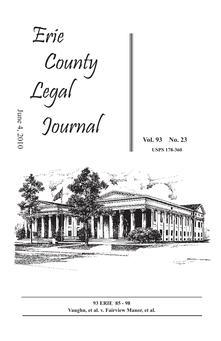

**93 ERIE 85 - 98 Vaughn, et al. v. Fairview Manor, et al.**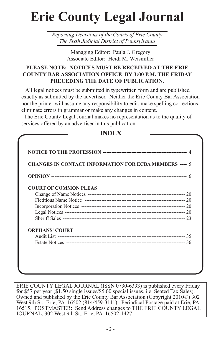# **Erie County Legal Journal**

*Reporting Decisions of the Courts of Erie County The Sixth Judicial District of Pennsylvania*

> Managing Editor: Paula J. Gregory Associate Editor: Heidi M. Weismiller

## **PLEASE NOTE: NOTICES MUST BE RECEIVED AT THE ERIE COUNTY BAR ASSOCIATION OFFICE BY 3:00 P.M. THE FRIDAY PRECEDING THE DATE OF PUBLICATION.**

 All legal notices must be submitted in typewritten form and are published exactly as submitted by the advertiser. Neither the Erie County Bar Association nor the printer will assume any responsibility to edit, make spelling corrections, eliminate errors in grammar or make any changes in content.

 The Erie County Legal Journal makes no representation as to the quality of services offered by an advertiser in this publication.

| <b>CHANGES IN CONTACT INFORMATION FOR ECBA MEMBERS ---- 5</b> |  |
|---------------------------------------------------------------|--|
|                                                               |  |
| <b>COURT OF COMMON PLEAS</b>                                  |  |
|                                                               |  |
|                                                               |  |
|                                                               |  |
|                                                               |  |
|                                                               |  |
| <b>ORPHANS' COURT</b>                                         |  |
|                                                               |  |
|                                                               |  |

**INDEX**

ERIE COUNTY LEGAL JOURNAL (ISSN 0730-6393) is published every Friday for \$57 per year (\$1.50 single issues/\$5.00 special issues, i.e. Seated Tax Sales). Owned and published by the Erie County Bar Association (Copyright 2010©) 302 West 9th St., Erie, PA 16502 (814/459-3111). Periodical Postage paid at Erie, PA 16515. POSTMASTER: Send Address changes to THE ERIE COUNTY LEGAL JOURNAL, 302 West 9th St., Erie, PA 16502-1427.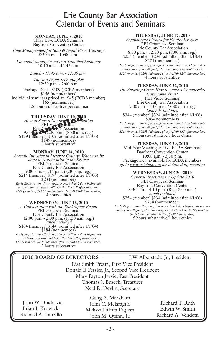## Erie County Bar Association Calendar of Events and Seminars

#### **MONDAY, JUNE 7, 2010** Three Live ECBA Seminars Bayfront Convention Center

*Time Management for Solo & Small Firm Attorneys* 8:30 a.m. - 10:00 a.m.

*Financial Management in a Troubled Economy* 10:15 a.m. - 11:45 a.m.

*Lunch - 11:45 a.m. - 12:30 p.m.*

*The Top Legal Technologies*  $12:30 \text{ p.m.} - 2:00 \text{ p.m.}$ Package Deal - \$109 (ECBA members)<br>\$156 (nonmembers)<br>individual seminars priced at: \$45 (ECBA member)<br>\$65 (nonmember)

1.5 hours substantive per seminar

**Cancel Branch a Nonprofit Organization**<br> **THURSDAY** *A CALCADING*<br> **CALCADING**<br> **CALCADING**<br> **THURSDAY CALCADING**<br> **CALCADING**<br> **CALCADING**<br> **CALCADING**<br> **CALCADING**<br> **CALCADING**<br> **CALCADING**<br> **CALCADING**<br> **CALCADING**<br> Erie County Bar Association<br>9:00 **a.m.** 12:30 p.m. (8:30 a.m. reg.)<br>\$129 (member) \$109 (admitted after 1/1/06) \$149 (nonmember)  $$149$  (nonmember)<br>3 hours substantive

**MONDAY, JUNE 14, 2010**<br>*Juvenile Injustice in Luzerne County: What can be done to restore faith in the System*<br>*PBI Groupcast Seminar*<br>*Erie County Bar Association*<br>9:00 a.m. - 1:15 p.m. (8:30 a.m. reg.)<br>\$214 (member) \$1 *Early Registration - If you register more than 2 days before this* 

*presentation you will qualify for this Early Registration Fee: \$189 (member) \$169 (admitted after 1/1/06) \$209 (nonmember)*  4 hours ethics

*A Conversation with the Bankruptcy Bench* **PBI Groupcast Seminar PBI Groups Seminar Erie County Bar Association 12:00 p.m. - 2:00 p.m. (11:30 a.m. reg.)** \$164 (member) \$144 (admitted after 1/1/04) \$184 (nonmember) *Early Registration - If you register more than 2 days before this presentation you will qualify for this Early Registration Fee:* 

*\$139 (member) \$119 (admitted after 1/1/06) \$159 (nonmember)*  2 hours substantive

#### **THURSDAY, JUNE 17, 2010**

*Sophisticated Issues for Family Lawyers* PBI Groupcast Seminar Erie County Bar Association<br>8:30 p.m. - 12:30 p.m. (8:00 a.m. reg.)  $$254$  (member)  $$234$  (admitted after 1/1/04)  $$274$  (nonmember)

*Early Registration - If you register more than 2 days before this presentation you will qualify for this Early Registration Fee: \$229 (member) \$209 (admitted after 1/1/06) \$249 (nonmember)*  4 hours substantive

### **TUESDAY, JUNE 22, 2010**

*The Amazing Case: How to make a Commercial Case come Alive!*  PBI Video Seminar Erie County Bar Association 9:00 a.m. - 4:00 p.m. (8:30 a.m. reg.) *Lunch is Included* \$344 (member) \$324 (admitted after 1/1/06) \$364(nonmember) *Early Registration - If you register more than 2 days before this presentation you will qualify for this Early Registration Fee: \$319 (member) \$299 (admitted after 1/1/06) \$339 (nonmember)* 5 hours substantive/1 hour ethics

### **TUESDAY, JUNE 29, 2010**

Mid-Year Meeting & Live ECBA Seminars Bayfront Convention Center 10:00 a.m. - 3:30 p.m. Package Deal available for ECBA members *go to www.eriebar.com for detailed information* 

### **WEDNESDAY, JUNE 30, 2010**

*General Practitioners Update 2010* PBI Groupcast Seminar Bayfront Convention Center 8:30 a.m. - 4:10 p.m. (Reg. 8:00 a.m.) *lunch included* \$254 (member) \$234 (admitted after 1/1/06) \$274 (nonmember) *Early Registration: If you register more than 2 days before this presen-*

*tation you will qualify for this Early Registration Fee: \$229 (member) \$209 (admitted after 1/1/06) \$249 (nonmember)* 5 hours substantive/1 hour ethics

|                                               | 2010 BOARD OF DIRECTORS - J.W. Alberstadt, Jr., President |                     |  |  |
|-----------------------------------------------|-----------------------------------------------------------|---------------------|--|--|
| Lisa Smith Presta, First Vice President       |                                                           |                     |  |  |
| Donald F. Fessler, Jr., Second Vice President |                                                           |                     |  |  |
| Mary Payton Jarvie, Past President            |                                                           |                     |  |  |
| Thomas J. Buseck, Treasurer                   |                                                           |                     |  |  |
| Neal R. Devlin, Secretary                     |                                                           |                     |  |  |
|                                               | Craig A. Markham                                          |                     |  |  |
| John W. Draskovic                             | John C. Melaragno                                         | Richard T. Ruth     |  |  |
| Brian J. Krowicki                             | Melissa LaFata Pagliari                                   | Edwin W. Smith      |  |  |
| Richard A. Lanzillo                           | John M. Quinn, Jr.                                        | Richard A. Vendetti |  |  |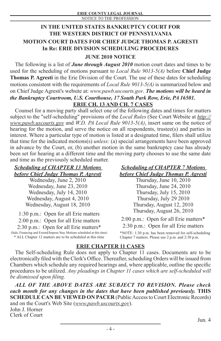## **IN THE UNITED STATES BANKRUPTCY COURT FOR THE WESTERN DISTRICT OF PENNSYLVANIA MOTION COURT DATES FOR CHIEF JUDGE THOMAS P. AGRESTI In Re: ERIE DIVISION SCHEDULING PROCEDURES**

## **JUNE 2010 NOTICE**

The following is a list of *June through August 2010* motion court dates and times to be used for the scheduling of motions pursuant to *Local Rule 9013-5(A)* before **Chief Judge Thomas P. Agresti** in the Erie Division of the Court. The use of these dates for scheduling motions consistent with the requirements of *Local Rule 9013-5(A)* is summarized below and on Chief Judge Agresti's website at: *www.pawb.uscourts.gov*. *The motions will be heard in the Bankruptcy Courtroom, U.S. Courthouse, 17 South Park Row, Erie, PA 16501.* **ERIE CH. 13 AND CH. 7 CASES**

Counsel for a moving party shall select one of the following dates and times for matters subject to the "self-scheduling" provisions of the *Local Rules* (See Court Website at *http:// www.pawb.uscourts.gov* and *W.D. PA Local Rule 9013-5(A)*, insert same on the notice of hearing for the motion, and serve the notice on all respondents, trustee(s) and parties in interest. Where a particular type of motion is listed at a designated time, filers shall utilize that time for the indicated motions(s) *unless:* (a) special arrangements have been approved in advance by the Court, or, (b) another motion in the same bankruptcy case has already been set for hearing at a different time and the moving party chooses to use the same date and time as the previously scheduled matter.

## *Scheduling of CHAPTER 13 Motions before Chief Judge Thomas P. Agresti*

Wednesday, June 2, 2010 Wednesday, June 23, 2010 Wednesday, July 14, 2010 Wednesday, August 4, 2010 Wednesday, August 18, 2010

1:30 p.m.: Open for all Erie matters 2:00 p.m.: Open for all Erie matters 2:30 p.m.: Open for all Erie matters\* (Sale, Financing and Extend/Impose Stay Motions scheduled at this time) \* ALL Chapter 12 matters are to be scheduled at this time

## *Scheduling of CHAPTER 7 Motions before Chief Judge Thomas P. Agresti*

Thursday, June 10, 2010 Thursday, June 24, 2010 Thursday, July 15, 2010 Thursday, July 29 2010 Thursday, August 12, 2010 Thursday, August 26, 2010

2:00 p.m.: Open for all Erie matters\* 2:30 p.m.: Open for all Erie matters

\*NOTE: 1:30 p.m. has been removed for self-scheduling Chapter 7 matters. Please use 2 p.m. and 2:30 p.m.

## **ERIE CHAPTER 11 CASES**

The Self-scheduling Rule does not apply to Chapter 11 cases. Documents are to be electronically filed with the Clerk's Office. Thereafter, scheduling Orders will be issued from Chambers which schedule any required hearings and, where applicable, outline the specific procedures to be utilized. *Any pleadings in Chapter 11 cases which are self-scheduled will be dismissed upon filing.*

*ALL OF THE ABOVE DATES ARE SUBJECT TO REVISION. Please check each month for any changes in the dates that have been published previously.* **THIS SCHEDULE CAN BE VIEWED ON PACER (Public Access to Court Electronic Records)** and on the Court's Web Site (*www.pawb.uscourts.gov*). John J. Horner

Clerk of Court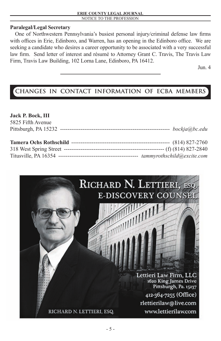## **Paralegal/Legal Secretary**

One of Northwestern Pennsylvania's busiest personal injury/criminal defense law firms with offices in Erie, Edinboro, and Warren, has an opening in the Edinboro office. We are seeking a candidate who desires a career opportunity to be associated with a very successful law firm. Send letter of interest and résumé to Attorney Grant C. Travis, The Travis Law Firm, Travis Law Building, 102 Lorna Lane, Edinboro, PA 16412.

Jun. 4

## **CHANGES IN CONTACT INFORMATION OF ECBA MEMBERS**

## **Jack P. Bock, III**

| 5825 Fifth Avenue |                            |
|-------------------|----------------------------|
|                   | bockja@bc.edu              |
|                   |                            |
|                   |                            |
|                   | tammyrothschild@excite.com |

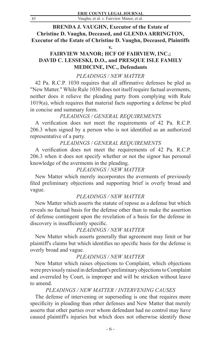**BRENDA J. VAUGHN, Executor of the Estate of Christine D. Vaughn, Deceased, and GLENDA ARRINGTON, Executor of the Estate of Christine D. Vaughn, Deceased, Plaintiffs**

**v.**

## **FAIRVIEW MANOR; HCF OF FAIRVIEW, INC.; DAVID C. LESSESKI, D.O., and PRESQUE ISLE FAMILY MEDICINE, INC., Defendants**

## *PLEADINGS / NEW MATTER*

42 Pa. R.C.P. 1030 requires that all affirmative defenses be pled as "New Matter." While Rule 1030 does not itself require factual averments, neither does it relieve the pleading party from complying with Rule 1019(a), which requires that material facts supporting a defense be pled in concise and summary form.

## *PLEADINGS / GENERAL REQUIREMENTS*

A verification does not meet the requirements of 42 Pa. R.C.P. 206.3 when signed by a person who is not identified as an authorized representative of a party.

## *PLEADINGS / GENERAL REQUIREMENTS*

A verification does not meet the requirements of 42 Pa. R.C.P. 206.3 when it does not specify whether or not the signor has personal knowledge of the averments in the pleading.

## *PLEADINGS / NEW MATTER*

New Matter which merely incorporates the averments of previously filed preliminary objections and supporting brief is overly broad and vague.

## *PLEADINGS / NEW MATTER*

New Matter which asserts the statute of repose as a defense but which reveals no factual basis for the defense other than to make the assertion of defense contingent upon the revelation of a basis for the defense in discovery is insufficiently specific.

## *PLEADINGS / NEW MATTER*

New Matter which asserts generally that agreement may limit or bar plaintiff's claims but which identifies no specific basis for the defense is overly broad and vague.

## *PLEADINGS / NEW MATTER*

New Matter which raises objections to Complaint, which objections were previously raised in defendant's preliminary objections to Complaint and overruled by Court, is improper and will be stricken without leave to amend.

## *PLEADINGS / NEW MATTER / INTERVENING CAUSES*

The defense of intervening or superseding is one that requires more specificity in pleading than other defenses and New Matter that merely asserts that other parties over whom defendant had no control may have caused plaintiff's injuries but which does not otherwise identify those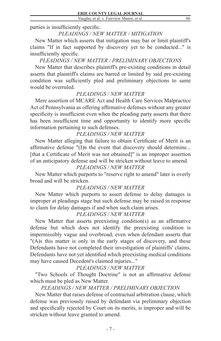parties is insufficiently specific.

## *PLEADINGS / NEW MATTER / MITIGATION*

New Matter which asserts that mitigation may bar or limit plaintiff's claims "If in fact supported by discovery yet to be conducted..." is insufficiently specific.

## *PLEADINGS / NEW MATTER / PRELIMINARY OBJECTIONS*

New Matter that describes plaintiff's pre-existing conditions in detail asserts that plaintiff's claims are barred or limited by said pre-existing condition was sufficiently pled and preliminary objections to same would be overruled.

## *PLEADINGS / NEW MATTER*

Mere assertion of MCARE Act and Health Care Services Malpractice Act of Pennsylvania as offering affirmative defenses without any greater specificity is insufficient even when the pleading party asserts that there has been insufficient time and opportunity to identify more specific information pertaining to such defenses.

## *PLEADINGS / NEW MATTER*

New Matter alleging that failure to obtain Certificate of Merit is an affirmative defense "(I)n the event that discovery should determine... [that a Certificate of Merit was not obtained]" is an improper assertion of an anticipatory defense and will be stricken without leave to amend.

## *PLEADINGS / NEW MATTER*

New Matter which purports to "reserve right to amend" later is overly broad and will be stricken.

## *PLEADINGS / NEW MATTER*

New Matter which purports to assert defense to delay damages is improper at pleadings stage but such defense may be raised in response to claim for delay damages if and when such claim arises.

## *PLEADINGS / NEW MATTER*

New Matter that asserts preexisting condition(s) as an affirmative defense but which does not identify the preexisting condition is impermissibly vague and overbroad, even when defendant asserts that "(A)s this matter is only in the early stages of discovery, and these Defendants have not completed their investigation of plaintiffs' claims, Defendants have not yet identified which preexisting medical conditions may have caused Decedent's claimed injuries..."

## *PLEADINGS / NEW MATTER*

"Two Schools of Thought Doctrine" is not an affirmative defense which must be pled as New Matter.

## *PLEADINGS / NEW MATTER / PRELIMINARY OBJECTION*

New Matter that raises defense of contractual arbitration clause, which defense was previously raised by defendant via preliminary objection and specifically rejected by Court on its merits, is improper and will be stricken without leave granted to amend.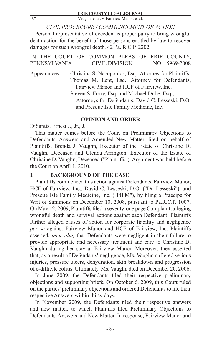|     | <b>ERIE COUNTY LEGAL JOURNAL</b>         |
|-----|------------------------------------------|
| -87 | Vaughn, et al. v. Fairview Manor, et al. |
|     |                                          |

*CIVIL PROCEDURE / COMMENCEMENT OF ACTION* Personal representative of decedent is proper party to bring wrongful death action for the benefit of those persons entitled by law to recover damages for such wrongful death. 42 Pa. R.C.P. 2202.

| IN THE COURT OF COMMON PLEAS OF ERIE COUNTY,      |                                                        |                                          |  |  |                |
|---------------------------------------------------|--------------------------------------------------------|------------------------------------------|--|--|----------------|
| PENNSYLVANIA                                      |                                                        | CIVIL DIVISION                           |  |  | NO. 15969-2008 |
| Appearances:                                      | Christina S. Nacopoulos, Esq., Attorney for Plaintiffs |                                          |  |  |                |
|                                                   | Thomas M. Lent, Esq., Attorney for Defendants,         |                                          |  |  |                |
|                                                   |                                                        | Fairview Manor and HCF of Fairview, Inc. |  |  |                |
| Steven S. Forry, Esq. and Michael Dube, Esq.,     |                                                        |                                          |  |  |                |
| Attorneys for Defendants, David C. Lesseski, D.O. |                                                        |                                          |  |  |                |
|                                                   |                                                        | and Presque Isle Family Medicine, Inc.   |  |  |                |

## **OPINION AND ORDER**

DiSantis, Ernest J., Jr., J.

This matter comes before the Court on Preliminary Objections to Defendants' Answers and Amended New Matter, filed on behalf of Plaintiffs, Brenda J. Vaughn, Executor of the Estate of Christine D. Vaughn, Deceased and Glenda Arrington, Executor of the Estate of Christine D. Vaughn, Deceased ("Plaintiffs"). Argument was held before the Court on April 1, 2010.

## **I. BACKGROUND OF THE CASE**

Plaintiffs commenced this action against Defendants, Fairview Manor, HCF of Fairview, Inc., David C. Lesseski, D.O. ("Dr. Lesseski"), and Presque Isle Family Medicine, Inc. ("PIFM"), by filing a Praecipe for Writ of Summons on December 10, 2008, pursuant to Pa.R.C.P. 1007. On May 12, 2009, Plaintiffs filed a seventy-one page Complaint, alleging wrongful death and survival actions against each Defendant. Plaintiffs further alleged causes of action for corporate liability and negligence *per se* against Fairview Manor and HCF of Fairview, Inc. Plaintiffs asserted, *inter alia,* that Defendants were negligent in their failure to provide appropriate and necessary treatment and care to Christine D. Vaughn during her stay at Fairview Manor. Moreover, they asserted that, as a result of Defendants' negligence, Ms. Vaughn suffered serious injuries, pressure ulcers, dehydration, skin breakdown and progression of c-difficile colitis. Ultimately, Ms. Vaughn died on December 20, 2006.

In June 2009, the Defendants filed their respective preliminary objections and supporting briefs. On October 6, 2009, this Court ruled on the parties' preliminary objections and ordered Defendants to file their respective Answers within thirty days.

In November 2009, the Defendants filed their respective answers and new matter, to which Plaintiffs filed Preliminary Objections to Defendants' Answers and New Matter. In response, Fairview Manor and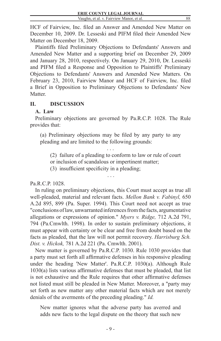88

HCF of Fairview, Inc. filed an Answer and Amended New Matter on December 10, 2009. Dr. Lesseski and PIFM filed their Amended New Matter on December 18, 2009.

Plaintiffs filed Preliminary Objections to Defendants' Answers and Amended New Matter and a supporting brief on December 29, 2009 and January 28, 2010, respectively. On January 29, 2010, Dr. Lesseski and PIFM filed a Response and Opposition to Plaintiffs' Preliminary Objections to Defendants' Answers and Amended New Matters. On February 23, 2010, Fairview Manor and HCF of Fairview, Inc. filed a Brief in Opposition to Preliminary Objections to Defendants' New Matter.

## **II. DISCUSSION**

## **A. Law**

Preliminary objections are governed by Pa.R.C.P. 1028. The Rule provides that:

(a) Preliminary objections may be filed by any party to any pleading and are limited to the following grounds:

. . . (2) failure of a pleading to conform to law or rule of court or inclusion of scandalous or impertinent matter;

(3) insufficient specificity in a pleading;

. . .

## Pa.R.C.P. 1028.

In ruling on preliminary objections, this Court must accept as true all well-pleaded, material and relevant facts. *Mellon Bank v. Fabinyl,* 650 A.2d 895, 899 (Pa. Super. 1994). This Court need not accept as true "conclusions of law, unwarranted inferences from the facts, argumentative allegations or expressions of opinion." *Myers v. Ridge,* 712 A.2d 791, 794 (Pa.Cmwlth. 1998). In order to sustain preliminary objections, it must appear with certainty or be clear and free from doubt based on the facts as pleaded, that the law will not permit recovery. *Harrisburg Sch. Dist. v. Hickok,* 781 A.2d 221 (Pa. Cmwlth. 2001).

New matter is governed by Pa.R.C.P. 1030. Rule 1030 provides that a party must set forth all affirmative defenses in his responsive pleading under the heading 'New Matter'. Pa.R.C.P. 1030(a). Although Rule 1030(a) lists various affirmative defenses that must be pleaded, that list is not exhaustive and the Rule requires that other affirmative defenses not listed must still be pleaded in New Matter. Moreover, a "party may set forth as new matter any other material facts which are not merely denials of the averments of the preceding pleading." *Id.*

New matter ignores what the adverse party has averred and adds new facts to the legal dispute on the theory that such new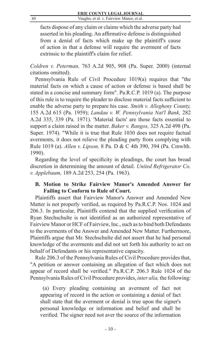89 Vaughn, et al. v. Fairview Manor, et al.

facts dispose of any claim or claims which the adverse party had asserted in his pleading. An affirmative defense is distinguished from a denial of facts which make up the plaintiff's cause of action in that a defense will require the averment of facts extrinsic to the plaintiff's claim for relief.

*Coldren v. Peterman,* 763 A.2d 905, 908 (Pa. Super. 2000) (internal citations omitted).

Pennsylvania Rule of Civil Procedure 1019(a) requires that "the material facts on which a cause of action or defense is based shall be stated in a concise and summary form". Pa.R.C.P. 1019 (a). The purpose of this rule is to require the pleader to disclose material facts sufficient to enable the adverse party to prepare his case. *Smith v. Allegheny County,*  155 A.2d 615 (Pa. 1959); *Landau v. W. Pennsylvania Nat'l Bank,* 282 A.2d 335, 339 (Pa. 1971). 'Material facts' are those facts essential to support a claim raised in the matter. *Baker v. Rangos,* 325 A.2d 498 (Pa. Super. 1974). "While it is true that Rule 1030 does not require factual averments, it does not relieve the pleading party from complying with Rule 1019 (a). *Allen v. Lipson,* 8 Pa. D & C 4th 390, 394 (Pa. Cmwlth. 1990).

Regarding the level of specificity in pleadings, the court has broad discretion in determining the amount of detail. *United Refrigerator Co. v. Applebaum,* 189 A.2d 253, 254 (Pa. 1963).

## **B. Motion to Strike Fairview Manor's Amended Answer for Failing to Conform to Rule of Court.**

Plaintiffs assert that Fairview Manor's Answer and Amended New Matter is not properly verified, as required by Pa.R.C.P. Nos. 1024 and 206.3. In particular, Plaintiffs contend that the supplied verification of Ryan Stechschulte is not identified as an authorized representative of Fairview Manor or HCF of Fairview, Inc., such as to bind both Defendants to the averments of the Answer and Amended New Matter. Furthermore, Plaintiffs argue that Mr. Stechschulte did not assert that he had personal knowledge of the averments and did not set forth his authority to act on behalf of Defendants or his representative capacity.

Rule 206.3 of the Pennsylvania Rules of Civil Procedure provides that, "A petition or answer containing an allegation of fact which does not appear of record shall be verified." Pa.R.C.P. 206.3 Rule 1024 of the Pennsylvania Rules of Civil Procedure provides, *inter alia,* the following:

(a) Every pleading containing an averment of fact not appearing of record in the action or containing a denial of fact shall state that the averment or denial is true upon the signer's personal knowledge or information and belief and shall be verified. The signer need not aver the source of the information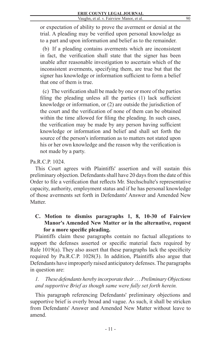or expectation of ability to prove the averment or denial at the trial. A pleading may be verified upon personal knowledge as to a part and upon information and belief as to the remainder.

(b) If a pleading contains averments which are inconsistent in fact, the verification shall state that the signer has been unable after reasonable investigation to ascertain which of the inconsistent averments, specifying them, are true but that the signer has knowledge or information sufficient to form a belief that one of them is true.

(c) The verification shall be made by one or more of the parties filing the pleading unless all the parties (1) lack sufficient knowledge or information, or (2) are outside the jurisdiction of the court and the verification of none of them can be obtained within the time allowed for filing the pleading. In such cases, the verification may be made by any person having sufficient knowledge or information and belief and shall set forth the source of the person's information as to matters not stated upon his or her own knowledge and the reason why the verification is not made by a party.

## Pa.R.C.P. 1024.

This Court agrees with Plaintiffs' assertion and will sustain this preliminary objection. Defendants shall have 20 days from the date of this Order to file a verification that reflects Mr. Stechschulte's representative capacity, authority, employment status and if he has personal knowledge of those averments set forth in Defendants' Answer and Amended New **Matter** 

## **C. Motion to dismiss paragraphs 1, 8, 10-30 of Fairview Manor's Amended New Matter or in the alternative, request for a more specific pleading.**

Plaintiffs claim these paragraphs contain no factual allegations to support the defenses asserted or specific material facts required by Rule 1019(a). They also assert that these paragraphs lack the specificity required by Pa.R.C.P. 1028(3). In addition, Plaintiffs also argue that Defendants have improperly raised anticipatory defenses. The paragraphs in question are:

*1. These defendants hereby incorporate their . . . Preliminary Objections and supportive Brief as though same were fully set forth herein.*

This paragraph referencing Defendants' preliminary objections and supportive brief is overly broad and vague. As such, it shall be stricken from Defendants' Answer and Amended New Matter without leave to amend.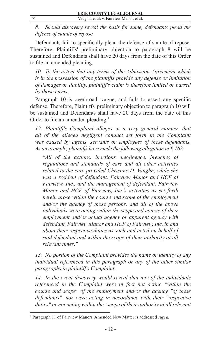*8. Should discovery reveal the basis for same, defendants plead the defense of statute of repose.*

Defendants fail to specifically plead the defense of statute of repose. Therefore, Plaintiffs' preliminary objection to paragraph 8 will be sustained and Defendants shall have 20 days from the date of this Order to file an amended pleading.

*10. To the extent that any terms of the Admission Agreement which is in the possession of the plaintiffs provide any defense or limitation of damages or liability, plaintiff's claim is therefore limited or barred by those terms.*

Paragraph 10 is overbroad, vague, and fails to assert any specific defense. Therefore, Plaintiffs' preliminary objection to paragraph 10 will be sustained and Defendants shall have 20 days from the date of this Order to file an amended pleading.<sup>1</sup>

12. Plaintiff's Complaint alleges in a very general manner, that *all of the alleged negligent conduct set forth in the Complaint was caused by agents, servants or employees of these defendants. As an example, plaintiffs have made the following allegation at ¶ 162:*

*"All of the actions, inactions, negligence, breaches of regulations and standards of care and all other activities related to the care provided Christine D. Vaughn, while she was a resident of defendant, Fairview Manor and HCF of Fairview, Inc., and the management of defendant, Fairview Manor and HCF of Fairview, Inc.'s activities as set forth herein arose within the course and scope of the employment and/or the agency of those persons, and all of the above individuals were acting within the scope and course of their employment and/or actual agency or apparent agency with defendant, Fairview Manor and HCF of Fairview, Inc. in and about their respective duties as such and acted on behalf of said defendant and within the scope of their authority at all relevant times."*

*13. No portion of the Complaint provides the name or identity of any individual referenced in this paragraph or any of the other similar paragraphs in plaintiff's Complaint.*

*14. In the event discovery would reveal that any of the individuals referenced in the Complaint were in fact not acting "within the course and scope" of the employment and/or the agency "of these defendants", nor were acting in accordance with their "respective duties" or not acting within the "scope of their authority at all relevant* 

<sup>&</sup>lt;sup>1</sup> Paragraph 11 of Fairview Manors' Amended New Matter is addressed *supra*.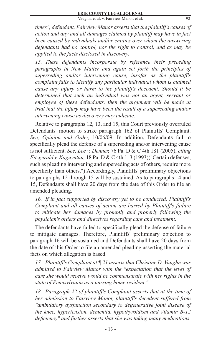92

*times", defendant, Fairview Manor asserts that the plaintiff's causes of action and any and all damages claimed by plaintiff may have in fact been caused by individuals and/or entities over whom the answering defendants had no control, nor the right to control, and as may be applied to the facts disclosed in discovery.*

*15. These defendants incorporate by reference their preceding paragraphs in New Matter and again set forth the principles of superseding and/or intervening cause, insofar as the plaintiff's complaint fails to identify any particular individual whom is claimed cause any injury or harm to the plaintiff's decedent. Should it be determined that such an individual was not an agent, servant or employee of these defendants, then the argument will be made at trial that the injury may have been the result of a superceding and/or intervening cause as discovery may indicate.*

Relative to paragraphs 12, 13, and 15, this Court previously overruled Defendants' motion to strike paragraph 162 of Plaintiffs' Complaint. *See, Opinion and Order,* 10/06/09. In addition, Defendants fail to specifically plead the defense of a superseding and/or intervening cause is not sufficient. *See, Lee v. Denner,* 76 Pa. D & C 4th 181 (2005), *citing Fitzgerald v. Kaguyutan,* 18 Pa. D & C 4th 1, 3 (1993)("Certain defenses, such as pleading intervening and superseding acts of others, require more specificity than others.") Accordingly, Plaintiffs' preliminary objections to paragraphs 12 through 15 will be sustained. As to paragraphs 14 and 15, Defendants shall have 20 days from the date of this Order to file an amended pleading.

*16. If in fact supported by discovery yet to be conducted, Plaintiff's Complaint and all causes of action are barred by Plaintiff's failure to mitigate her damages by promptly and properly following the physician's orders and directives regarding care and treatment.*

The defendants have failed to specifically plead the defense of failure to mitigate damages. Therefore, Plaintiffs' preliminary objection to paragraph 16 will be sustained and Defendants shall have 20 days from the date of this Order to file an amended pleading asserting the material facts on which allegation is based.

*17. Plaintiff's Complaint at ¶ 21 asserts that Christine D. Vaughn was admitted to Fairview Manor with the "expectation that the level of care she would receive would be commensurate with her rights in the state of Pennsylvania as a nursing home resident."*

*18. Paragraph 22 of plaintiff's Complaint asserts that at the time of her admission to Fairview Manor, plaintiff's decedent suffered from "ambulatory dysfunction secondary to degenerative joint disease of the knee, hypertension, dementia, hypothyroidism and Vitamin B-12 deficiency" and further asserts that she was taking many medications.*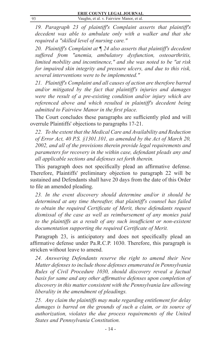*19. Paragraph 23 of plaintiff's Complaint asserts that plaintiff's decedent was able to ambulate only with a walker and that she required a "skilled level of nursing care."*

*20. Plaintiff's Complaint at ¶ 24 also asserts that plaintiff's decedent suffered from "anemia, ambulatory dysfunction, osteoarthritis, limited mobility and incontinence," and she was noted to be "at risk for impaired skin integrity and pressure ulcers, and due to this risk, several interventions were to be implemented."*

*21. Plaintiff's Complaint and all causes of action are therefore barred and/or mitigated by the fact that plaintiff's injuries and damages were the result of a pre-existing condition and/or injury which are referenced above and which resulted in plaintiff's decedent being admitted to Fairview Manor in the first place.*

The Court concludes these paragraphs are sufficiently pled and will overrule Plaintiffs' objections to paragraphs 17-21.

*22. To the extent that the Medical Care and Availability and Reduction of Error Act, 40 P.S. §1301.101, as amended by the Act of March 20, 2002, and all of the provisions therein provide legal requirements and parameters for recovery in the within case, defendant pleads any and all applicable sections and defenses set forth therein.*

This paragraph does not specifically plead an affirmative defense. Therefore, Plaintiffs' preliminary objection to paragraph 22 will be sustained and Defendants shall have 20 days from the date of this Order to file an amended pleading.

*23. In the event discovery should determine and/or it should be determined at any time thereafter, that plaintiff's counsel has failed to obtain the required Certificate of Merit, these defendants request dismissal of the case as well as reimbursement of any monies paid to the plaintiffs as a result of any such insufficient or non-existent documentation supporting the required Certificate of Merit.*

Paragraph 23, is anticipatory and does not specifically plead an affirmative defense under Pa.R.C.P. 1030. Therefore, this paragraph is stricken without leave to amend.

*24. Answering Defendants reserve the right to amend their New Matter defenses to include those defenses enumerated in Pennsylvania Rules of Civil Procedure 1030, should discovery reveal a factual basis for same and any other affirmative defenses upon completion of discovery in this matter consistent with the Pennsylvania law allowing liberality in the amendment of pleadings.*

*25. Any claim the plaintiffs may make regarding entitlement for delay*  damages is barred on the grounds of such a claim, or its source of *authorization, violates the due process requirements of the United States and Pennsylvania Constitution.*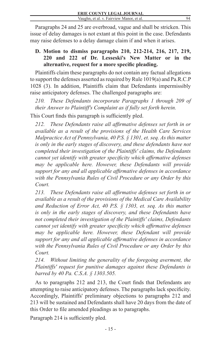94

Paragraphs 24 and 25 are overbroad, vague and shall be stricken. This issue of delay damages is not extant at this point in the case. Defendants may raise defenses to a delay damage claim if and when it arises.

## **D. Motion to dismiss paragraphs 210, 212-214, 216, 217, 219, 220 and 222 of Dr. Lesseski's New Matter or in the alternative, request for a more specific pleading.**

Plaintiffs claim these paragraphs do not contain any factual allegations to support the defenses asserted as required by Rule 1019(a) and Pa.R.C.P 1028 (3). In addition, Plaintiffs claim that Defendants impermissibly raise anticipatory defenses. The challenged paragraphs are:

*210. These Defendants incorporate Paragraphs 1 through 209 of their Answer to Plaintiff's Complaint as if fully set forth herein.*

This Court finds this paragraph is sufficiently pled.

*212. These Defendants raise all affirmative defenses set forth in or available as a result of the provisions of the Health Care Services Malpractice Act of Pennsylvania, 40 P.S. § 1301, et. seq. As this matter is only in the early stages of discovery, and these defendants have not completed their investigation of the Plaintiffs' claims, the Defendants cannot yet identify with greater specificity which affirmative defenses may be applicable here. However, these Defendants will provide support for any and all applicable affirmative defenses in accordance with the Pennsylvania Rules of Civil Procedure or any Order by this Court.*

*213. These Defendants raise all affirmative defenses set forth in or available as a result of the provisions of the Medical Care Availability and Reduction of Error Act, 40 P.S. § 1303, et. seq. As this matter is only in the early stages of discovery, and these Defendants have not completed their investigation of the Plaintiffs' claims, Defendants cannot yet identify with greater specificity which affirmative defenses may be applicable here. However, these Defendant will provide support for any and all applicable affirmative defenses in accordance with the Pennsylvania Rules of Civil Procedure or any Order by this Court.*

*214. Without limiting the generality of the foregoing averment, the Plaintiffs' request for punitive damages against these Defendants is barred by 40 Pa. C.S.A. § 1303.505.*

As to paragraphs 212 and 213, the Court finds that Defendants are attempting to raise anticipatory defenses. The paragraphs lack specificity. Accordingly, Plaintiffs' preliminary objections to paragraphs 212 and 213 will be sustained and Defendants shall have 20 days from the date of this Order to file amended pleadings as to paragraphs.

Paragraph 214 is sufficiently pled.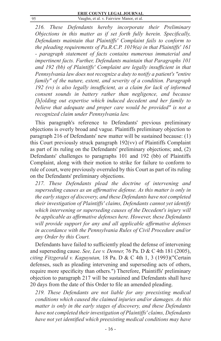95 Vaughn, et al. v. Fairview Manor, et al.

*216. These Defendants hereby incorporate their Preliminary Objections in this matter as if set forth fully herein. Specifically, Defendants maintain that Plaintiffs' Complaint fails to conform to the pleading requirements of Pa.R.C.P. 1019(a) in that Plaintiffs' 161 - paragraph statement of facts contains numerous immaterial and impertinent facts. Further, Defendants maintain that Paragraphs 101 and 192 (bb) of Plaintiffs' Complaint are legally insufficient in that Pennsylvania law does not recognize a duty to notify a patient's "entire family" of the nature, extent, and severity of a condition. Paragraph 192 (vv) is also legally insufficient, as a claim for lack of informed consent sounds in battery rather than negligence, and because [h]olding out expertise which induced decedent and her family to believe that adequate and proper care would be provided" is not a recognized claim under Pennsylvania law.*

This paragraph's reference to Defendants' previous preliminary objections is overly broad and vague. Plaintiffs preliminary objection to paragraph 216 of Defendants' new matter will be sustained because: (1) this Court previously struck paragraph 192(vv) of Plaintiffs Complaint as part of its ruling on the Defendants' preliminary objections; and, (2) Defendants' challenges to paragraphs 101 and 192 (bb) of Plaintiffs Complaint, along with their motion to strike for failure to conform to rule of court, were previously overruled by this Court as part of its ruling on the Defendants' preliminary objections.

*217. These Defendants plead the doctrine of intervening and superseding causes as an affirmative defense. As this matter is only in the early stages of discovery, and these Defendants have not completed their investigation of Plaintiffs' claims, Defendants cannot yet identify which intervening or superseding causes of the Decedent's injury will be applicable as affirmative defenses here. However, these Defendants will provide support for any and all applicable affirmative defenses in accordance with the Pennsylvania Rules of Civil Procedure and/or any Order by this Court.*

Defendants have failed to sufficiently plead the defense of intervening and superseding cause. *See, Lee v. Denner,* 76 Pa. D & C 4th 181 (2005), *citing Fitzgerald v. Kaguyutan,* 18 Pa. D & C 4th 1, 3 (1993)("Certain defenses, such as pleading intervening and superseding acts of others, require more specificity than others.") Therefore, Plaintiffs' preliminary objection to paragraph 217 will be sustained and Defendants shall have 20 days from the date of this Order to file an amended pleading.

*219. These Defendants are not liable for any preexisting medical conditions which caused the claimed injuries and/or damages. As this matter is only in the early stages of discovery, and these Defendants have not completed their investigation of Plaintiffs' claims, Defendants have not yet identified which preexisting medical conditions may have*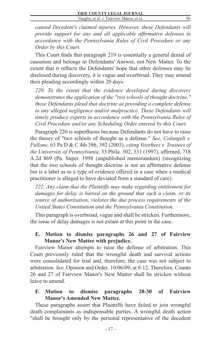96

*caused Decedent's claimed injuries. However, these Defendants will provide support for any and all applicable affirmative defenses in accordance with the Pennsylvania Rules of Civil Procedure or any Order by this Court.*

This Court finds that paragraph 219 is essentially a general denial of causation and belongs in Defendants' Answer, not New Matter. To the extent that it reflects the Defendants' hope that other defenses may be disclosed during discovery, it is vague and overbroad. They may amend their pleading accordingly within 20 days.

*220. To the extent that the evidence developed during discovery demonstrates the application of the "two schools of thought doctrine," these Defendants plead that doctrine as providing a complete defense to any alleged negligence and/or malpractice. These Defendants will timely produce experts in accordance with the Pennsylvania Rules of Civil Procedure and/or any Scheduling Order entered by this Court.*

Paragraph 220 is superfluous because Defendants do not have to raise the theory of "two schools of thought as a defense." *See, Colangeli v. Pallone,* 63 Pa D & C 4th 386, 392 (2003), *citing Voorhees v. Trustees of the University of Pennsylvania,* 33 Phila. 302, 331 (1997), affirmed, 718 A.2d 869 (Pa. Super. 1998 (unpublished memorandum) (recognizing that the two schools of thought doctrine is not an affirmative defense but is a label as to a type of evidence offered in a case when a medical practitioner is alleged to have deviated from a standard of care).

*222. Any claim that the Plaintiffs may make regarding entitlement for damages for delay is barred on the ground that such a claim, or its source of authorization, violates the due process requirements of the United States Constitution and the Pennsylvania Constitution.*

This paragraph is overbroad, vague and shall be stricken. Furthermore, the issue of delay damages is not extant at this point in the case.

## **E. Motion to dismiss paragraphs 26 and 27 of Fairview Manor's New Matter with prejudice.**

Fairview Manor attempts to raise the defense of arbitration. This Court previously ruled that the wrongful death and survival actions were consolidated for trial and, therefore, the case was not subject to arbitration. *See,* Opinion and Order*,* 10/06/09, at 9-12. Therefore, Counts 26 and 27 of Fairview Manor's New Matter shall be stricken without leave to amend.

## **F. Motion to dismiss paragraphs 28-30 of Fairview Manor's Amended New Matter.**

These paragraphs assert that Plaintiffs have failed to join wrongful death complainants as indispensable parties. A wrongful death action "shall be brought only by the personal representative of the decedent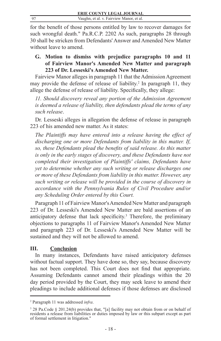for the benefit of those persons entitled by law to recover damages for such wrongful death." Pa.R.C.P. 2202 As such, paragraphs 28 through 30 shall be stricken from Defendants' Answer and Amended New Matter without leave to amend.

## **G. Motion to dismiss with prejudice paragraphs 10 and 11 of Fairview Manor's Amended New Matter and paragraph 223 of Dr. Lesseski's Amended New Matter.**

Fairview Manor alleges in paragraph 11 that the Admission Agreement may provide the defense of release of liability.<sup>2</sup> In paragraph 11, they allege the defense of release of liability. Specifically, they allege:

11. Should discovery reveal any portion of the Admission Agreement *is deemed a release of liability, then defendants plead the terms of any such release*.

Dr. Lesseski alleges in allegation the defense of release in paragraph 223 of his amended new matter. As it states:

*The Plaintiffs may have entered into a release having the effect of discharging one or more Defendants from liability in this matter. If, so, these Defendants plead the benefits of said release. As this matter is only in the early stages of discovery, and these Defendants have not completed their investigation of Plaintiffs' claims, Defendants have yet to determine whether any such writing or release discharges one or more of these Defendants from liability in this matter. However, any such writing or release will be provided in the course of discovery in accordance with the Pennsylvania Rules of Civil Procedure and/or any Scheduling Order entered by this Court.*

Paragraph 11 of Fairview Manor's Amended New Matter and paragraph 223 of Dr. Lesseski's Amended New Matter are bald assertions of an anticipatory defense that lack specificity.<sup>3</sup> Therefore, the preliminary objections to paragraphs 11 of Fairview Manor's Amended New Matter and paragraph 223 of Dr. Lesseski's Amended New Matter will be sustained and they will not be allowed to amend.

## **III. Conclusion**

In many instances, Defendants have raised anticipatory defenses without factual support. They have done so, they say, because discovery has not been completed. This Court does not find that appropriate. Assuming Defendants cannot amend their pleadings within the 20 day period provided by the Court, they may seek leave to amend their pleadings to include additional defenses if those defenses are disclosed

<sup>2</sup> Paragraph 11 was addressed *infra*.

<sup>&</sup>lt;sup>3</sup> 28 Pa.Code § 201.24(b) provides that, "[a] facility may not obtain from or on behalf of residents a release from liabilities or duties imposed by law or this subpart except as part of formal settlement in litigation."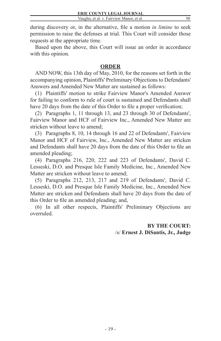during discovery or, in the alternative, file a motion *in limine* to seek permission to raise the defenses at trial. This Court will consider those requests at the appropriate time.

Based upon the above, this Court will issue an order in accordance with this opinion.

## **ORDER**

AND NOW, this 13th day of May, 2010, for the reasons set forth in the accompanying opinion, Plaintiffs' Preliminary Objections to Defendants' Answers and Amended New Matter are sustained as follows:

(1) Plaintiffs' motion to strike Fairview Manor's Amended Answer for failing to conform to rule of court is sustained and Defendants shall have 20 days from the date of this Order to file a proper verification;

(2) Paragraphs 1, 11 through 13, and 23 through 30 of Defendants', Fairview Manor and HCF of Fairview Inc., Amended New Matter are stricken without leave to amend;

(3) Paragraphs 8, 10, 14 through 16 and 22 of Defendants', Fairview Manor and HCF of Fairview, Inc., Amended New Matter are stricken and Defendants shall have 20 days from the date of this Order to file an amended pleading;

(4) Paragraphs 216, 220, 222 and 223 of Defendants', David C. Lesseski, D.O. and Presque Isle Family Medicine, Inc., Amended New Matter are stricken without leave to amend;

(5) Paragraphs 212, 213, 217 and 219 of Defendants', David C. Lesseski, D.O. and Presque Isle Family Medicine, Inc., Amended New Matter are stricken and Defendants shall have 20 days from the date of this Order to file an amended pleading; and,

(6) In all other respects, Plaintiffs' Preliminary Objections are overruled.

> **BY THE COURT:** /s/ **Ernest J. DiSantis, Jr., Judge**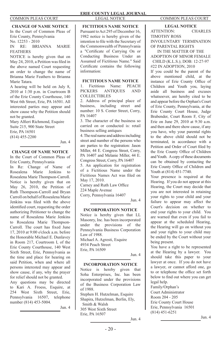**CHANGE OF NAME NOTICE** In the Court of Common Pleas of Erie County, Pennsylvania No. 12253 - 2010 IN RE: BRIANNA MARIE **FEATHERS** 

NOTICE is hereby given that on May 24, 2010, a Petition was filed in the above named Court requesting an order to change the name of Brianna Marie Feathers to Brianna Marie Tatara.

A hearing will be held on July 8, 2010 at 1:30 p.m. in Courtroom B of the Erie County Courthouse, 140 West 6th Street, Erie, PA 16501. All interested parties may appear and show cause why the Petition should not be granted.

Mary Alfieri Richmond, Esquire Suite 215, 900 State Street Erie, PA 16501 (814) 455-2200

Jun. 4

#### **CHANGE OF NAME NOTICE**

In the Court of Common Pleas of Erie County, Pennsylvania

In Re: Change of Name of Rosealena Marie Jenkins to Rosealena Marie Thompson-Carroll. Notice is hereby given that on May 26, 2010, the Petition of Ruth Thompson-Carroll and Bryan Carroll on behalf of Rosealena Marie Jenkins was filed with the above identified court, requesting the order authorizing Petitioner to change the name of Rosealena Marie Jenkins to Rosealena Marie Thompson-Carroll. The court has fixed June 17, 2010 at 9:00 o'clock a.m. before the Honorable Michael E. Dunlavey in Room 217, Courtroom I, of the Erie County Courthouse, 140 West Sixth Street, Erie, Pennsylvania as the time and place for hearing on said Petition, when and where all persons interested may appear and show cause, if any, why the prayer for relief should not be granted.

Any questions may be directed to Kari A. Froess, Esquire, at 254 West Sixth Street, Erie, Pennsylvania 16507, telephone number (814) 453-5004.

Jun. 4

### **FICTITIOUS NAME NOTICE**

Pursuant to Act 295 of December 16, 1982 notice is hereby given of the intention to file with the Secretary of the Commonwealth of Pennsylvania a "Certificate of Carrying On or Conducting Business Under an Assumed of Fictitious Name." Said Certificate contains the following information:

**FICTITIOUS NAME NOTICE**

1. Fictitious Name: PEACH PICKERS ANTIQUES AND COLLECTIBLES

2. Address of principal place of business, including street and number: 10 S. Center Street, Corry, PA 16407

3. The character of the business so carried on or conducted is: retail business selling antiques

4. The real name and address including street and number of the persons who are parties to the registration: Jason Miller, 44 E. Congress Street, Corry, PA 16407 and Melanie Miller, 44 E. Congress Street, Corry, PA 16407

5. An application for registration of a Fictitious Name under the Fictitious Names Act was filed on May 17, 2010.

Carney and Ruth Law Office 224 Maple Avenue Corry, Pennsylvania 16407

Jun. 4

#### **INCORPORATION NOTICE**

Notice is hereby given that LL Masonry, Inc. has been incorporated under the provisions of the Pennsylvania Business Corporation Law of 1988. Michael A. Agresti, Esquire 4934 Peach Street Erie, PA 16509

Jun. 4

Jun. 4

#### **INCORPORATION NOTICE**

Notice is hereby given that Soha Enterprises, Inc. has been incorporated under the provisions of the Business Corporation Law of 1988. Stephen H. Hutzelman, Esquire Shapira, Hutzelman, Berlin, Ely, Smith & Walsh 305 West Sixth Street Erie, PA 16507

**LEGAL NOTICE** ATTENTION: CHARLES TIMOTHY ROSS INVOLUNTARY TERMINATION OF PARENTAL RIGHTS

IN THE MATTER OF THE ADOPTION OF MINOR FEMALE CHILD (K.L.S.); DOB: 12-27-97 #22 IN ADOPTION, 2010 If you could be the parent of the above mentioned child, at the instance of Erie County Office of Children and Youth you, laying aside all business and excuses whatsoever, are hereby cited to be and appear before the Orphan's Court of Erie County, Pennsylvania, at the Erie County Court House, Judge Brabender, Court Room F, City of Erie on June 29, 2010 at 9:30 a.m. and then and there show cause, if any you have, why your parental rights to the above child should not be terminated, in accordance with a Petition and Order of Court filed by the Erie County Office of Children and Youth. A copy of these documents can be obtained by contacting the Erie County Office of Children and

Youth at (814) 451-7740.

Your presence is required at the Hearing. If you do not appear at this Hearing, the Court may decide that you are not interested in retaining your rights to your child and your failure to appear may affect the Court's decision on whether to end your rights to your child. You are warned that even if you fail to appear at the scheduled Hearing, the Hearing will go on without you and your rights to your child may be ended by the Court without your being present.

You have a right to be represented at the Hearing by a lawyer. You should take this paper to your lawyer at once. If you do not have a lawyer, or cannot afford one, go to or telephone the office set forth below to find out where you can get legal help.

Family/Orphan's Court Administrator Room 204 - 205 Erie County Court House Erie, Pennsylvania 16501 (814) 451-6251

Jun. 4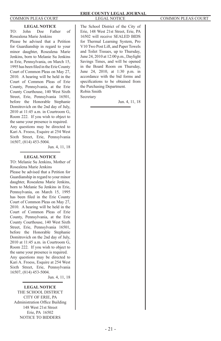### **LEGAL NOTICE**

TO: John Doe Father of Rosealena Marie Jenkins

Please be advised that a Petition for Guardianship in regard to your minor daughter, Rosealena Marie Jenkins, born to Melanie Su Jenkins in Erie, Pennsylvania, on March 15, 1995 has been filed in the Erie County Court of Common Pleas on May 27, 2010. A hearing will be held in the Court of Common Pleas of Erie County, Pennsylvania, at the Erie County Courthouse, 140 West Sixth Street, Erie, Pennsylvania 16501, before the Honorable Stephanie Domitrovich on the 2nd day of July, 2010 at 11:45 a.m. in Courtroom G, Room 222. If you wish to object to the same your presence is required. Any questions may be directed to Kari A. Froess, Esquire at 254 West Sixth Street, Erie, Pennsylvania 16507, (814) 453-5004.

Jun. 4, 11, 18

#### **LEGAL NOTICE**

TO: Melanie Su Jenkins, Mother of Rosealena Marie Jenkins Please be advised that a Petition for Guardianship in regard to your minor daughter, Rosealena Marie Jenkins, born to Melanie Su Jenkins in Erie, Pennsylvania, on March 15, 1995 has been filed in the Erie County Court of Common Pleas on May 27, 2010. A hearing will be held in the Court of Common Pleas of Erie County, Pennsylvania, at the Erie County Courthouse, 140 West Sixth Street, Erie, Pennsylvania 16501, before the Honorable Stephanie Domitrovich on the 2nd day of July, 2010 at 11:45 a.m. in Courtroom G, Room 222. If you wish to object to the same your presence is required. Any questions may be directed to Kari A. Froess, Esquire at 254 West Sixth Street, Erie, Pennsylvania

16507, (814) 453-5004.

Jun. 4, 11, 18

**LEGAL NOTICE** THE SCHOOL DISTRICT CITY OF ERIE, PA Administration Office Building 148 West 21st Street Erie, PA 16502 NOTICE TO BIDDERS

The School District of the City of Erie, 148 West 21st Street, Erie, PA 16502 will receive SEALED BIDS for Thermal Learning System, Pro V10 Two Post Lift, and Paper Towels and Toilet Tissues, up to Thursday, June 24, 2010 at 12:00 p.m., Daylight Savings Times, and will be opened in the Board Room on Thursday, June 24, 2010, at 1:30 p.m. in accordance with the bid forms and specifications to be obtained from the Purchasing Department. Robin Smith Secretary

Jun. 4, 11, 18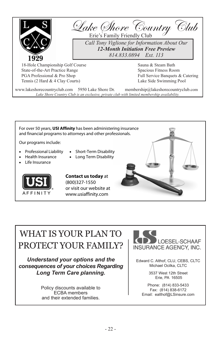



# WHAT IS YOUR PLAN TO PROTECT YOUR FAMILY?

*Understand your options and the consequences of your choices Regarding Long Term Care planning.*

> Policy discounts available to ECBA members and their extended families.



Edward C. Althof, CLU, CEBS, CLTC Michael Ocilka, CLTC

> 3537 West 12th Street Erie, PA 16505

Phone: (814) 833-5433 Fax: (814) 838-6172 Email: ealthof@LSinsure.com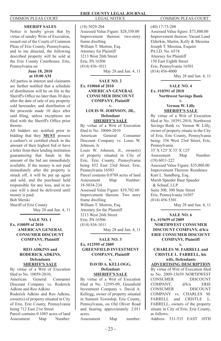#### **SHERIFF SALES**

Notice is hereby given that by virtue of sundry Writs of Execution, issued out of the Courts of Common Pleas of Erie County, Pennsylvania, and to me directed, the following described property will be sold at the Erie County Courthouse, Erie, Pennsylvania on

#### **June 18, 2010 at 10:00 AM**

All parties in interest and claimants are further notified that a schedule of distribution will be on file in the Sheriff's Office no later than 30 days after the date of sale of any property sold hereunder, and distribution of the proceeds made 10 days after said filing, unless exceptions are filed with the Sheriff's Office prior thereto.

All bidders are notified prior to bidding that they **MUST** possess a cashier's or certified check in the amount of their highest bid or have a letter from their lending institution guaranteeing that funds in the amount of the bid are immediately available. If the money is not paid immediately after the property is struck off, it will be put up again and sold, and the purchaser held responsible for any loss, and in no case will a deed be delivered until money is paid.

Bob Merski Sheriff of Erie County May 28 and Jun. 4, 11

### **SALE NO. 1 Ex. #10059 of 2010 AMERICAN GENERAL CONSUMER DISCOUNT COMPANY, Plaintiff**

#### **v. REO ADKINS and RODERICK ADKINS, Defendants SHERIFF'S SALE**

By virtue of a Writ of Execution filed to No. 10059-2010; American General Consumer Discount Company vs. Roderick Adkins and Reo Adkins Roderick Adkins and Reo Adkins,

owner(s) of property situated in City of Erie, Erie County, Pennsylvania being 712 East 21st Street Parcel contains 0.1085 acres of land

Assessment Map Number:

## (18) 5029-204

Assessed Value Figure: \$28,350.00 Improvement thereon: two-story frame dwelling William T. Morton, Esq. Attorney for Plaintiff 3213 West 26th Street Erie, PA 16506 (814) 836-1011 May 28 and Jun. 4, 11

#### **SALE NO. 2 Ex. #10060 of 2010 AMERICAN GENERAL CONSUMER DISCOUNT COMPANY, Plaintiff v.**

#### **LOUIS W. JOHNSON, JR., Defendant SHERIFF'S SALE**

By virtue of a Writ of Execution filed to No. 10060-2010 American General Consumer Discount Company vs. Louis W. Johnson, Jr. Louis W. Johnson, Jr., owner(s) of property situated in City of Erie, Erie County, Pennsylvania being 852 East 23rd Street, Erie, Pennsylvania 16503 Parcel contains 0.0788 acres of land Assessment Map Number: 18-5034-234 Assessed Value Figure: \$39,702.60 Improvement thereon: Two story frame dwelling William T. Morton, Esq. Attorney for the Plaintiff 3213 West 26th Street Erie, PA 16506 (814) 836-1011 May 28 and Jun. 4, 11

#### **SALE NO. 3 Ex. #12595 of 2009 GREENFIELD INVESTMENT COMPANY, Plaintiff**

#### **v. DAVID A. KELLOGG, Defendant**

**SHERIFF'S SALE** By virtue of a Writ of Execution filed at No. 12595-09, Greenfield Investment Company v. David A. Kellogg, owner of property situated in Summit Township, Erie County, Pennsylvania, on Old Oliver Road and bearing approximately 2.011 acres.

Assessment Map number:

(40) 17-73-208 Assessed Value figure: \$73,800.00 Improvement thereon: Vacant Land Elderkin, Martin, Kelly & Messina Joseph T. Messina, Esquire PA I.D. No. 6574 Attorney for Plaintiff 150 East Eighth Street Erie, Pennsylvania 16501 (814) 456-4000 May 28 and Jun. 4, 11

#### **SALE NO. 4 Ex. #10391 of 2010 Northwest Savings Bank**

**v. Vernon W. Lilly SHERIFF'S SALE**

By virtue of a Writ of Execution filed at No. 10391-2010, Northwest Savings Bank vs. Vernon W. Lilly, owner of property situate in the City of Erie, Erie County, Pennsylvania being: 356 West 23rd Street, Erie, Pennsylvania. 33' X 125' X 33' X 125' Assessment Map Number: (19) 6011-222 Assessed Value Figure: \$35,000.00 Improvement Thereon: Residence Kurt L. Sundberg, Esq. Marsh Spaeder Baur Spaeder & Schaaf, LLP Suite 300, 300 State Street Erie, Pennsylvania 16507 (814) 456-5301 May 28 and Jun. 4, 11

#### **SALE NO. 6 Ex. #15659 of 2009 NORTHWEST CONSUMER DISCOUNT COMPANY, d/b/a ERIE CONSUMER DISCOUNT COMPANY, Plaintiff v.**

### **CHARLES M. FARRELL and CRISTLE L. FARRELL, his wife, Defendants**

**ADVERTISING DESCRIPTION** By virtue of Writ of Execution filed to No. 2009-15659 NORTHWEST CONSUMER DISCOUNT COMPANY, d/b/a ERIE<br>CONSUMER DISCOUNT **CONSUMER** COMPANY vs. CHARLES M. FARRELL and CRISTLE L. FARRELL, owners of the property situate in City of Erie, Erie County, as follows:

Address: 531-533 EAST 10TH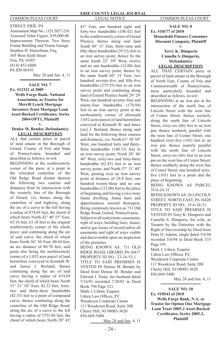STREET, ERIE, PA Assessment Map No.: (15) 2027-216 Assessed Value Figure: \$39,000.00 Improvement Thereon: Two Story Frame Building and Frame Garage Stephen H. Hutzelman, Esq. 305 West Sixth Street Erie, PA 16507 (814) 452-6800 PA ID# 06541

May 28 and Jun. 4, 11

**SALE NO. 7 Ex. #12321 of 2009 Wells Fargo Bank, National Association, as Trustee for Merrill Lynch Mortgage Investors Trust Mortgage Loan Asset-Backed Certificates, Series 2004-OPT1, Plaintiff v.**

### **Denise M. Bender, Defendant(s) LEGAL DESCRIPTION**

ALL that certain piece or parcel of land situate in the Borough of Girard, County of Erie and State of Pennsylvania, bounded and described as follows, to-wit:

BEGINNING at the southwesterly corner of the piece at a point in the relocated centerline of the Old Ridge Road distant thereon the following two courses and distances from its intersection with the westerly line of the Borough of Girard, viz; thence along the centerline of said highway, along the arc of a curve to the left having a radius of 674.69 feet, the chord of which bears North 42° 40' 55" East, 63.16 feet, 63.18 feet to the original southwesterly corner of the whole piece; and continuing along the arc of said curve, the chord of which bears North 36° 36' East, 80.64 feet, an arc distance of 80.70 feet, said point also being the northwesterly corner of a 1.052 acre parcel of land heretofore conveyed to Kenneth W. and Janice J. Borland; thence continuing along the arc of said curve having a radius of 674.69 feet; the chord of which bears North 31° 21' 10" East, 42.32 feet, fortytwo and thirty-three hundredths (42.33) feet to a point of compound curve; thence continuing along the centerline of the Old Ridge Road, along the arc of a curve to the left having a radius of 3755.86 feet, the chord of which bears North 28° 43'

43" East, one hundred eight and forty-two hundredths (108.42) feet to the southwesterly corner of Girard Plastics; thence along said land South 60° 31' East, thirty-nine and fifty-three hundredths (39.53) feet to an iron survey point; thence by the same South 22° 39" West, twelve and no one hundredths (12.00) feet to an iron survey point; thence by the same South 60° 31' East, two hundred seventy-five and fifty-five hundredths (275.55) feet to an iron survey point and continuing along land of Girard Plastics South 29° 29' West, one hundred seventy-four and ninety-four hundredths (174.94) feet to an iron survey point at the northeasterly corner of aforesaid 1.052 acres parcel of land heretofore conveyed to Kenneth W. and Jance [sic] J. Borland; thence along said land for the following three courses and distances, viz; North 61° 30' 30" West, one hundred forty and thirtythree hundredths (140.33) feet to an iron survey point; North 28° 46' 40" West, sixty-two and forty-three hundredths (62.43) feet to an iron survey point; and North 57° 51' 40" West, passing over an iron survey point at distance of 24.8 feet, one hundred twenty-three and no one hundredths (123.00) feet to the place of beginning and having a two-story frame dwelling, frame barn and appurtenances erected thereupon. Being commonly known as 711 Old Ridge Road, Girard, Pennsylvania. Subject to all restrictions, easements, right of ways, building lines, leases, and/or gas leases of record and to all easements and right of ways visible and discoverable upon an inspection of the premises. BEING KNOWN AS: 711 OLD RIDGE ROAD, GIRARD, PA 16417 PROPERTY ID NO.: 23-16-53-1 TITLE TO SAID PREMISES IS VESTED IN Denise M. Bender by Deed from Denise M. Bender and Edward J. Tome, her husband dated 7/16/01 recorded 7/20/01 in Deed Book 794 Page 521. Mark J. Udren, Esquire Udren Law Offices, P.C. Woodcrest Corporate Center 111 Woodcrest Road, Suite 200 Cherry Hill, NJ 08003-3620

#### **SALE NO. 8 Ex. #10177 of 2010 Household Finance Consumer Discount Company, Plaintiff v. Terry K. Dimperio**

### **Camella S. Dimperio, Defendant(s) LEGAL DESCRIPTION**

ALL THAT CERTAIN piece or parcel of land situate in the Borough of North East, County of Erie and Commonwealth of Pennsylvania, more particularly bounded and described as follows, to-wit:

BEGINNING at an iron pin at the intersection of the north line of Lincoln Street with the west line of Center Street; thence westerly along the north line of Lincoln Street, sixty-six (66) feet to an iron pin; thence northerly parallel with the west line of Center Street, one hundred sixty-five (165) feet to an iron pin; thence easterly parallel with the north line of Lincoln Street, sixty-six (66) feet to an iron pin on the west line of Center Street; thence southerly along the west line of Center Street, one hundred sixtyfive (165) feet to a point and the place of beginning.

BEING KNOWN AS PARCEL 35-6-24-31

BEING KNOWN AS: 26 LINCOLN STREET, NORTH EAST, PA 16428 PROPERTY ID NO.: 35-6-24-31 TITLE TO SAID PREMISES IS VESTED IN Terry K. Dimperio and Camella S. Dimperio, his wife, as Tenants by the Entireties with the Right of Survivorship by Deed from Peter D. Adams, single dated 5/6/94 recorded 5/6/94 in Deed Book 333

Page 191. Mark J. Udren, Esquire Udren Law Offices, P.C. Woodcrest Corporate Center 111 Woodcrest Road, Suite 200 Cherry Hill, NJ 08003-3620 856-669-5400

May 28 and Jun. 4, 11

**SALE NO. 10 Ex. #10543 of 2010 Wells Fargo Bank, N.A. as Trustee for Option One Mortgage Loan Trust 2005-2 Asset-Backed Certificates, Series 2005-2, Plaintiff**

856-669-5400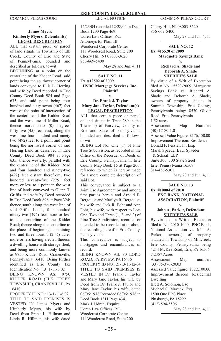#### **v. James Myers Kimberly Myers, Defendant(s) LEGAL DESCRIPTION**

ALL that certain piece or parcel of land situate in Township of Elk Creek, County of Erie and State of Pennsylvania, bounded and described as follows, to-wit:

BEGINNING at a point on the centerline of the Kidder Road, said point being the southwest corner of lands conveyed to Ellis L. Herring and wife by Deed recorded in Erie County Deed Book 984 and Page 635, and said point being four hundred and sixty-seven (467) feet west of the point of intersection of the centerline of the Kidder Road and the west line of Miller Road; thence north zero (0) degrees forty-five (45) feet east, along the west line four hundred and ninety two (492) feet to a point and point being the northwest corner of said Herring Land as described in Erie County Deed Book 984 at Page 635; thence westerly, parallel with the centerline of the Kidder Road and four hundred and ninety-two (492) feet distant therefrom, two hundred seventy-five (275) feet more or less to a point in the west line of lands conveyed to Glenn T. Griffis and wife by Deed recorded in Erie Deed Book 898 at Page 324; thence south along the west line of said Griffis Lands, four hundred ninety-two (492) feet more or less to the centerline of the Kidder Road; thence along the centerline to the place of beginning; containing two and three fourths  $(2 \frac{3}{4})$  acres more or less having erected thereon a dwelling house with storage shed; and being more commonly known as 9750 Kidder Road, Cranesville, Pennsylvania 16410. Being further identified as Erie County Tax Identification No. (13) 1-11-6.02 BEING KNOWN AS: 9750 KIDDER ROAD (ELK CREEK TOWNSHIP), CRANESVILLE, PA 16410

PROPERTY ID NO.: 13-1-11-6.02 TITLE TO SAID PREMISES IS VESTED IN James Myers and Kimberly Myers, his wife by Deed from Frank L. Hillman and Linda R. Hillman, his wife dated

12/23/04 recorded 12/28/04 in Deed Book 1200 Page 469. Udren Law Offices, P.C. Attorneys for Plaintiff Woodcrest Corporate Center 111 Woodcrest Road, Suite 200 Cherry Hill, NJ 08003-3620 856-669-5400

May 28 and Jun. 4, 11

#### **SALE NO. 11 Ex. #12502 of 2009 HSBC Mortgage Services, Inc., Plaintiff v.**

#### **Dr. Frank J. Taylor Mary Jane Taylor, Defendant(s) LEGAL DESCRIPTION**

ALL that certain piece or parcel of land situate in Tract 289 in the Township of Fairview, County of Erie and State of Pennsylvania, bounded and described as follows, to-wit:

BEING Lot No. One (1) of Pine Tree Subdivision, as recorded in the Office of the Recorder of Deeds of Erie County, Pennsylvania in Erie County Map Book 15 at Page 206, reference to which is hereby made for a more complete description of said Lot.

This conveyance is subject to a Joint Use Agreement by and among first parties herein and Arnold E. Bergquist and Marilyn R. Bergquist, his wife and Jack R. Foht and Ann Foht, his wife, with respect to Lots One, Two and Three (1, 2, and 3) of Pine Tree Subdivision, recorded or intended to be recorded at or about the recording hereof in Erie County, Pennsylvania.

This conveyance is subject to mortgages and encumbrances of record.

BEING KNOWN AS: 80 LORD ROAD, FAIRVIEW, PA 16415

PROPERTY ID NO.: 21-13-11-12-04 TITLE TO SAID PREMISES IS VESTED IN Dr. Frank J. Taylor and Mary Jane Taylor, his wife by Deed from Dr. Frank J. Taylor and Mary Jane Taylor, his wife, dated 06/06/1978 Recorded 06/06/1978 in Deed Book 1311 Page 434. Mark J. Udren, Esquire Udren Law Offices, P.C. Woodcrest Corporate Center 111 Woodcrest Road, Suite 200

Cherry Hill, NJ 08003-3620 856-669-5400

May 28 and Jun. 4, 11

**SALE NO. 12 Ex. #15520 of 2009 Marquette Savings Bank**

#### **v. Richard A. Shade and Deborah A. Shade SHERIFF'S SALE**

By virtue of a Writ of Execution filed at No. 15520-2009, Marquette Savings Bank vs. Richard A. Shade and Deborah A. Shade, owners of property situate in Summit Township, Erie County, Pennsylvania being: 8530 Oliver Road, Erie, Pennsylvania.

1.52 acres

Assessment Map Number: (40) 17-80-1.01

Assessed Value Figure: \$176,150.00 Improvement Thereon: Residence Donald F. Fessler, Jr., Esq.

Marsh Spaeder Baur Spaeder & Schaaf, LLP

Suite 300, 300 State Street Erie, Pennsylvania 16507 814-456-5301

May 28 and Jun. 4, 11

**SALE NO. 13 Ex. #10004 of 2010 PNC BANK, NATIONAL ASSOCIATION, Plaintiff v.**

#### **John A. Parker, Defendant SHERIFF'S SALE**

By virtue of a Writ of Execution filed to No. 2010-10004 PNC Bank, National Association vs. John A. Parker, owner(s) of property situated in Township of Millcreek, Erie County, Pennsylvania being 4214 McKee Road, Erie, PA 16506 7.2357 Acres Assessment Map number: (33) 85-376-20.03 Assessed Value figure: \$322,100.00 Improvement thereon: Residential Dwelling Brett A. Solomon, Esq. Michael C. Mazack, Esq. 1500 One PPG Place Pittsburgh, PA 15222 (412) 594-5506

May 28 and Jun. 4, 11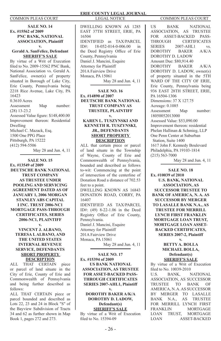**SALE NO. 14 Ex. #15562 of 2009 PNC BANK, NATIONAL ASSOCIATION, Plaintiff v.**

#### **Gerald A. SanFelice, Defendant SHERIFF'S SALE**

By virtue of a Writ of Execution filed to No. 2009-15562 PNC Bank, National Association vs. Gerald A. SanFelice, owner(s) of property situated in Borough of Lake City, Erie County, Pennsylvania being 2218 Rice Avenue, Lake City, PA 16423 0.3610 Acres Assessment Map number: (28) 13-23.2 Assessed Value figure: \$148,400.00 Improvement thereon: Residential Dwelling Michael C. Mazack, Esq. 1500 One PPG Place Pittsburgh, PA 15222 (412) 594-5506 May 28 and Jun. 4, 11

**SALE NO. 15 Ex. #13549 of 2009 DEUTSCHE BANK NATIONAL TRUST COMPANY AS TRUSTEE UNDER POOLING AND SERVICING AGREEMENT DATED AS OF JANUARY 1, 2006 MORGAN STANLEY ABS CAPITAL I INC. TRUST 2006-NC1 MORTGAGE PASS-THROUGH CERTIFICATES, SERIES 2006-NC1, PLAINTIFF v.** 

### **VINCENT J. ALBANO, TERESA I. ALBANO, AND THE UNITED STATES INTERNAL REVENUE SERVICE, DEFENDANTS SHORT PROPERTY DESCRIPTION**<br>THAT **CERTAIN**

ALL THAT CERTAIN piece or parcel of land situate in the City of Erie, County of Erie and Commonwealth of Pennsylvania and being further described as follows:

ALL THAT CERTAIN piece or parcel bounded and described as Lots 22, 23 and 24 in Block "S" of the Bayview Subdivision of Tracts 34 and 62 as further shown in Map Book 1, pages 272 and 273.

DWELLING KNOWN AS 1285 EAST 37TH STREET, ERIE, PA 16504 IDENTIFIED as TAX/PARCEL<br>ID#: 18-052-014-0-006.00 in 18-052-014-0-006.00 in the Deed Registry Office of Erie County, Pennsylvania Daniel J. Mancini, Esquire Attorney for Plaintiff 201A Fairview Drive Monaca, PA 15061 May 28 and Jun. 4, 11

#### **SALE NO. 16 Ex. #14890 of 2007 DEUTSCHE BANK NATIONAL TRUST COMPANY AS TRUSTEE, PLAINTIFF v.**

#### **KAREN L. TUSZYNSKI AND KENNETH R. TUSZYNSKI, JR., DEFENDANTS SHORT PROPERTY DESCRIPTION**

ALL that certain piece or parcel of land situate in the Township of Wayne, County of Erie and Commonwealth of Pennsylvania, bounded and described as follows to-wit: Commencing at the point of intersection of the centerline of Donation Road a distance of 702.53 feet to a point.

DWELLING KNOWN AS 16843 DONATION ROAD, CORRY, PA 16407

IDENTIFIED AS TAX/PARCEL ID#: (49) 8-22-1.06 in the Deed Registry Office of Erie County, Pennsylvania.

Daniel J. Mancini, Esquire Attorney for Plaintiff 201A Fairview Drive Monaca, PA 15061

May 28 and Jun. 4, 11

**SALE NO. 17 Ex. #15394 of 2009 US BANK NATIONAL ASSOCIATION, AS TRUSTEE FOR ASSET-BACKED PASS-THROUGH CERTIFICATES SERIES 2007-AHL1, Plaintiff v.**

#### **DOROTHY BAKER A/K/A DOROTHY D. LADOW, Defendant(s) SHERIFF'S SALE**

By virtue of a Writ of Execution filed to No. 15394-09

US BANK NATIONAL ASSOCIATION, AS TRUSTEE FOR ASSET-BACKED PASS-<br>THROUGH CERTIFICATES **CERTIFICATES** SERIES 2007-AHL1 vs. DOROTHY BAKER A/K/A DOROTHY D. LADOW Amount Due: \$80,914.40 DOROTHY BAKER A/K/A DOROTHY D. LADOW, owner(s) of property situated in the 5TH WARD OF THE CITY OF ERIE. Erie County, Pennsylvania being 936 EAST 28TH STREET, ERIE, PA 16504-1306 Dimensions: 37 X 127.75 Acreage: 0.1085 Assessment Map number: 18050052013000 Assessed Value: \$53,090.00 Improvement thereon: residential Phelan Hallinan & Schmieg, LLP One Penn Center at Suburban Station, Suite 1400 1617 John F. Kennedy Boulevard Philadelphia, PA 19103-1814 (215) 563-7000

May 28 and Jun. 4, 11

**SALE NO. 18 Ex. #10039 of 2010 U.S. BANK, NATIONAL ASSOCIATION, AS SUCCESSOR TRUSTEE TO BANK OF AMERICA, N. A. AS SUCCESSOR BY MERGER TO LASALLE BANK N.A., AS TRUSTEE FOR MERRILL LYNCH FIRST FRANKLIN MORTGAGE LOAN TRUST, MORTGAGE LOAN ASSET-BACKED CERTIFICATES, SERIES 2007-2, Plaintiff**

> **v. BETTY A. BOLLA MICHAEL BOLLA, Defendant(s) SHERIFF'S SALE**

By virtue of a Writ of Execution filed to No. 10039-2010 U.S. BANK, NATIONAL ASSOCIATION, AS SUCCESSOR TRUSTEE TO BANK OF AMERICA, N. A. AS SUCCESSOR BY MERGER TO LASALLE BANK N.A., AS TRUSTEE FOR MERRILL LYNCH FIRST FRANKLIN MORTGAGE LOAN TRUST, MORTGAGE LOAN ASSET-BACKED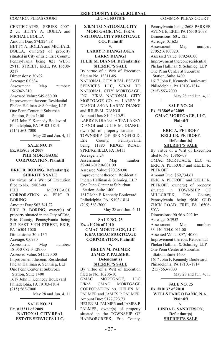CERTIFICATES, SERIES 2007- 2 vs. BETTY A. BOLLA and MICHAEL BOLLA Amount Due: \$74,224.38 BETTY A. BOLLA and MICHAEL BOLLA, owner(s) of property situated in City of Erie, Erie County, Pennsylvania being 821 WEST 29TH STREET, ERIE, PA 16508- 3217 Dimensions: 30x92 Acreage: 0.0634 Assessment Map number: 19-6042-210 Assessed Value: \$49,680.00 Improvement thereon: Residential Phelan Hallinan & Schmieg, LLP One Penn Center at Suburban Station, Suite 1400 1617 John F. Kennedy Boulevard Philadelphia, PA 19103-1814 (215) 563-7000 May 28 and Jun. 4, 11

**SALE NO. 19 Ex. #15805 of 2009 PHH MORTGAGE CORPORATION, Plaintiff v.** 

**ERIC B. BORING, Defendant(s) SHERIFF'S SALE** By virtue of a Writ of Execution filed to No. 15805-09 PHH MORTGAGE CORPORATION vs. ERIC B. BORING Amount Due: \$62,341.72 ERIC B. BORING, owner(s) of property situated in the City of Erie, Erie County, Pennsylvania being 212 EAST 30TH STREET, ERIE, PA 16504-1020 Dimensions: 30 x 135 Acreage: 0.0930 Assessment Map number: 18-050-082.0-129.00 Assessed Value: \$41,520.00 Improvement thereon: Residential Phelan Hallinan & Schmieg, LLP One Penn Center at Suburban Station, Suite 1400 1617 John F. Kennedy Boulevard Philadelphia, PA 19103-1814 (215) 563-7000 May 28 and Jun. 4, 11

**SALE NO. 21 Ex. #13311 of 2009 NATIONAL CITY REAL ESTATE SERVICES LLC,** 

**S/B/M TO NATIONAL CITY MORTGAGE, INC, F/K/A NATIONAL CITY MORTGAGE CO., Plaintiff v.** 

### **LARRY P. DIANGI A/K/A LARRY DIANGI**

#### **JULIE M. DIANGI, Defendant(s) SHERIFF'S SALE**

By virtue of a Writ of Execution filed to No. 13311-09 NATIONAL CITY REAL ESTATE SERVICES LLC, S/B/M TO NATIONAL CITY MORTGAGE, INC, F/K/A NATIONAL CITY MORTGAGE CO. vs. LARRY P. DIANGI A/K/A LARRY DIANGI and **IHLIE M. DIANGI** Amount Due: \$104,315.91 LARRY P. DIANGI A/K/A LARRY DIANGI and JULIE M. DIANGI, owner(s) of property situated in TOWNSHIP OF SPRINGFIELD,<br>Erie County, Pennsylvania Erie County, Pennsylvania being 11883 RIDGE ROAD, SPRINGFIELD, PA 16411 Acreage: 3.24 Assessment Map number: 39-041-012.0-001.00 Assessed Value: \$90,350.00 Improvement thereon: Residential Phelan Hallinan & Schmieg, LLP One Penn Center at Suburban Station, Suite 1400 1617 John F. Kennedy Boulevard Philadelphia, PA 19103-1814  $(215)$  563-7000

May 28 and Jun. 4, 11

**SALE NO. 23 Ex. #10206 of 2010 GMAC MORTGAGE, LLC F/K/A GMAC MORTGAGE CORPORATION, Plaintiff** 

#### **v. HELEN M. PALMER JAMES P. PALMER, Defendant(s) SHERIFF'S SALE**

By virtue of a Writ of Execution filed to No. 10206-10 GMAC MORTGAGE, LLC F/K/A GMAC MORTGAGE CORPORATION vs. HELEN M. PALMER and JAMES P. PALMER Amount Due: \$177,723.73 HELEN M. PALMER and JAMES P. PALMER, owner(s) of property situated in the TOWNSHIP OF HARBORCREEK, Erie County,

Pennsylvania being 2608 PARKER AVENUE, ERIE, PA 16510-2038 Dimensions: 60 x 125 Acreage: 0.1625 Assessment Map number: 27052161000201 Assessed Value: \$79,560.00 Improvement thereon: residential Phelan Hallinan & Schmieg, LLP One Penn Center at Suburban Station, Suite 1400 1617 John F. Kennedy Boulevard Philadelphia, PA 19103-1814 (215) 563-7000

May 28 and Jun. 4, 11

**SALE NO. 24 Ex. #13865 of 2009 GMAC MORTGAGE, LLC, Plaintiff**

#### **v. ERIC A. PETROFF KELLI R. PETROFF, Defendant(s) SHERIFF'S SALE**

By virtue of a Writ of Execution filed to No. 13865-09 GMAC MORTGAGE, LLC vs. ERIC A. PETROFF and KELLI R. PETROFF Amount Due: \$69,734.61 ERIC A. PETROFF and KELLI R. PETROFF, owner(s) of property situated in TOWNSHIP OF MILLCREEK, Erie County, Pennsylvania being 5640 OLD ZUCK ROAD, ERIE, PA 16506- 5033 Dimensions: 90.56 x 293 Irr. Acreage: 0.5952 Assessment Map number: 33-140-554.0-011.00 Assessed Value: \$97,140.00 Improvement thereon: Residential Phelan Hallinan & Schmieg, LLP One Penn Center at Suburban Station, Suite 1400 1617 John F. Kennedy Boulevard Philadelphia, PA 19103-1814 (215) 563-7000 May 28 and Jun. 4, 11

**SALE NO. 25 Ex. #10132 of 2010 WELLS FARGO BANK, N.A., Plaintiff v.** 

> **LINDA L. SANDERSON, Defendant(s) SHERIFF'S SALE**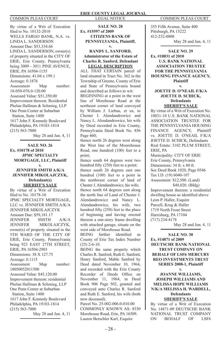By virtue of a Writ of Execution filed to No. 10132-2010 WELLS FARGO BANK, N.A. vs. LINDA L. SANDERSON Amount Due: \$53,334.66 LINDA L. SANDERSON, owner(s) of property situated in the CITY OF ERIE, Erie County, Pennsylvania being 3009 - 3011 PINE AVENUE, ERIE, PA 16504-1155 Dimensions: 41.04 x 199.1 Acreage: 0.1876 Assessment Map number: 18-050-076.0-120.00 Assessed Value: \$51,350.00 Improvement thereon: Residential Phelan Hallinan & Schmieg, LLP One Penn Center at Suburban Station, Suite 1400 1617 John F. Kennedy Boulevard Philadelphia, PA 19103-1814 (215) 563-7000

May 28 and Jun. 4, 11

#### **SALE NO. 26 Ex. #10178 of 2010 JPMC SPECIALTY MORTGAGE, LLC, Plaintiff v.**

**JENNIFER SMITH A/K/A JENNIFER MIKOLAJCZYK, Defendant(s) SHERIFF'S SALE**

By virtue of a Writ of Execution filed to No. 10178-10 JPMC SPECIALTY MORTGAGE, LLC vs. JENNIFER SMITH A/K/A JENNIFER MIKOLAJCZYK Amount Due: \$59,181.17 JENNIFER SMITH A/K/A JENNIFER MIKOLAJCZYK, owner(s) of property situated in the 5TH WARD OF THE CITY OF ERIE, Erie County, Pennsylvania being 923 EAST 27TH STREET, ERIE, PA 16504-2903 Dimensions: 38 X 127.75 Acreage: 0.1115 Assessment Map number: 18050052011500 Assessed Value: \$45,120.00 Improvement thereon: residential Phelan Hallinan & Schmieg, LLP One Penn Center at Suburban Station, Suite 1400 1617 John F. Kennedy Boulevard Philadelphia, PA 19103-1814 (215) 563-7000

May 28 and Jun. 4, 11

#### **ERIE COUNTY LEGAL JOURNAL** COMMON PLEAS COURT LEGAL NOTICE COMMON PLEAS COURT

**SALE NO. 28 Ex. #15597 of 2009 CITIZENS BANK OF PENNSYLVANIA, Plaintiff, v.** 

#### **RANDY L. SANFORD, Administrator of the Estate of Charles R. Sanford, Defendant LEGAL DESCRIPTION**

ALL THAT CERTAIN parcel of land situated in Tract No. 362 in the Township of Greene, County of Erie and State of Pennsylvania bound and described as follows to wit: BEGINNING at a point in the west line of Morehouse Road at the northeast corner of land conveyed by William J. Liebau, et ux, to Chester I. Alendandrowicz and Nancy L. Alendandrowicz, his wife by Deed recorded in Erie County, Pennsylvania Deed Book No. 856 Page 460;

thence north 26 degrees west along the West line of the Moorehouse Road, one hundred (100) feet to a point;

thence south 64 degrees west two hundred fifty (250) feet to a point;

thence south 26 degrees east one hundred (100) feet to a point in the northwest corner of land of Chester J. Alendandrowicz, his wife; thence north 64 degrees east along the north line of Land of Chester J. Alendandrowicz and Nancy L. Alendandrowicz, his wife, two hundred fifty (250) feet to the place of beginning and having erected thereon a one-story frame dwelling with attached garage, situate on the west side of Morehouse Road.<br>BEING further identified

identified as County of Erie Tax Index Number  $(25)$  2-6-10.

BEING the same property which Charles R. Sanford, Ruth E. Sanford, Henry Sanford, Mable Sanford by Deed dated November 10, 1964, and recorded with the Erie County Recorder of Deeds Office on November 11, 1964, in Deed Book 906 Page 502, granted and conveyed unto Charles R. Sanford and Ruth E. Sanford, his wife (both now deceased).

Parcel No. 25-002-006.0-010.00 COMMONLY KNOWN AS: 8330 Morehouse Road, Erie, PA 16509. Lauren Berschler Karl, Esquire

355 Fifth Avenue, Suite 400 Pittsburgh, PA 15222 412-232-0808 May 28 and Jun. 4, 11

**SALE NO. 29 Ex. #10031 of 2010 U.S. BANK NATIONAL ASSOCIATION TRUSTEE FOR THE PENNSYLVANIA HOUSING FINANCE AGENCY, Plaintiff**

**v.**

**JOETTE D. O'NEAIL F/K/A JOETTE D. SCHICK, Defendants SHERIFF'S SALE**

By virtue of a Writ of Execution No. 10031-10 U.S. BANK NATIONAL ASSOCIATION TRUSTEE FOR THE PENNSYLVANIA HOUSING FINANCE AGENCY, Plaintiff vs. JOETTE D. O'NEAIL F/K/A JOETTE D. SCHICK, Defendants Real Estate: 3102 PLUM STREET, ERIE, PA

Municipality: CITY OF ERIE Erie County, Pennsylvania Dimensions: 34 ft. x 80 ft. See Deed Book 1020, Page 0546 Tax I.D. (19) 6040-107

Assessment: \$12,500. (Land) \$48,020. (Bldg)

Improvement thereon: a residential dwelling house as identified above Leon P. Haller, Esquire Purcell, Krug & Haller 1719 North Front Street Harrisburg, PA 17104 (717) 234-4178

May 28 and Jun. 4, 11

**SALE NO. 30 Ex. #14871 of 2009 DEUTSCHE BANK NATIONAL TRUST COMPANY ON BEHALF OF LSF6 MERCURY REO INVESTMENTS TRUST SERIES 2008-1, Plaintiff**

**v. JOANNE WILLIAMS, JOSEPH WILLIAMS AND MELISSA HOPE WILLIAMS N/K/A MELISSA H. WARDELL, Defendants**

**SHERIFF'S SALE**

By virtue of a Writ of Execution No. 14871-09 DEUTSCHE BANK NATIONAL TRUST COMPANY ON BEHALF OF LSF6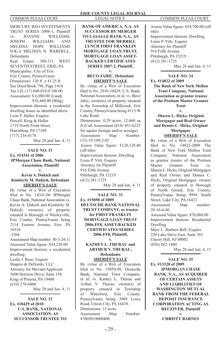MERCURY REO INVESTMENTS TRUST SERIES 2008-1, Plaintiff<br>vs. JOANNE WILLIAMS, vs. JOANNE WILLIAMS,<br>JOSEPH WILLIAMS AND WILLIAMS AND MELISSA HOPE WILLIAMS N/K/A MELISSA H. WARDELL, **Defendants** Real Estate: 309-311 WEST SEVENTH STREET, ERIE, PA Municipality: City of Erie Erie County, Pennsylvania Dimensions: 120 ft. x 41.25 ft. See Deed Book 796, Page 1416 Tax I.D. (17) 040-010.0 108.00 Assessment: \$ 6,900.00 (Land) \$76,460.00 (Bldg) Improvement thereon: a residential dwelling house as identified above Leon P. Haller, Esquire Purcell, Krug & Haller 1719 North Front Street Harrisburg, PA 17104 (717) 234-4178 May 28 and Jun. 4, 11

#### **SALE NO. 31 Ex. #14341 of 2006 JPMorgan Chase Bank, National Association, Plaintiff**

**v. Kevin A. Dukich and Kimberly M. Dukich, Defendant SHERIFF'S SALE**

By virtue of a Writ of Execution filed to No. 14341-06 JPMorgan Chase Bank, National Association vs. Kevin A. Dukich and Kimberly M. Dukich, owner(s) of property situated in Borough of Wesleyville, Erie County, Pennsylvania being 2114 Eastern Avenue, Erie, PA 16510 .2204

Assessment Map number: 50-3-24-11 Assessed Value figure: \$54,230.00 Improvement thereon: a residential dwelling Leslie J. Rase, Esquire Shapiro & DeNardo, LLC Attorney for Movant/Applicant 3600 Horizon Drive, Suite 150 King of Prussia, PA 19406 (610) 278-6800

May 28 and Jun. 4, 11

**SALE NO. 32 Ex. #10429 of 2010 U.S. BANK, NATIONAL ASSOCIATION, AS SUCCESSOR TRUSTEE TO**  **BANK OF AMERICA, N.A. AS SUCCESSOR BY MERGER TO LASALLE BANK N.A., AS TRUSTEE FOR MERRILL LYNCH FIRST FRANKLIN MORTGAGE LOAN TRUST, MORTGAGE LOAN ASSET-BACKED CERTIFICATES SERIES 2007-2, Plaintiff, v.** 

#### **BECO JAHIC, Defendant SHERIFF'S SALE**

By virtue of a Writ of Execution filed to No. 2010-10429, U.S. Bank, National Association, et al, vs. Beco Jahic, owner(s) of property situated in the Township of Millcreek, Erie County, Pennsylvania being 4113 W Lake Road. Dimensions: 0.29 acres; 12,660 sq ft (Call Assessment (814) 451-6225 for square footage and/or acreage) Assessment Map Number: (33) 19-100-2.02 Assess Value figure: \$120,128.40 (off title) Improvement thereon: Dwelling Louis P. Vitti, Esquire Attorney for Plaintiff 916 Fifth Avenue Pittsburgh, PA 15219 (412) 281-1725 May 28 and Jun. 4, 11

**SALE NO. 33 Ex. #15050 of 2009 DEUTSCHE BANK NATIONAL TRUST COMPANY, as trustee for FIRST FRANKLIN MORTGAGE LOAN TRUST 2006-FF8, ASSET-BACKED CERTIFICATES SERIES 2006-FF8, Plaintiff, v.** 

**KATHEY L. THURAU and ARTHUR V. THURAU, Defendants SHERIFF'S SALE**

By virtue of a Writ of Execution filed to No. 15050-09, Deutsche Bank, National Trust Company, et al, vs. Kathey L. Thurau and Arthur V. Thurau, owner(s) of property situated in Township of Waterford, Erie County, Pennsylvania being 3989 Lowe Road, Union City, PA 16438. Dimensions: 15 acres Assessment Map Number: 47005019000400

Assess Value figure: \$54,700.00 (off title) Improvement thereon: Dwelling Louis P. Vitti, Esquire Attorney for Plaintiff 916 Fifth Avenue Pittsburgh, PA 15219 (412) 281-1725 May 28 and Jun. 4, 11

**SALE NO. 34 Ex. #14822 of 2009 The Bank of New York Mellon Trust Company, National Association as grantor trustee of the Protium Master Grantor Trust**

**v. Sharen L. Hicks, Original Mortgagor and Real Owner and Dennis C. Hicks, Original Mortgagor SHERIFF'S SALE**

By virtue of a Writ of Execution filed to No. 14822-2009 The Bank of New York Mellon Trust Company, National Association as grantor trustee of the Protium<br>Master Grantor Trust vs Grantor Trust vs. Sharen L. Hicks, Original Mortgagor and Real Owner and Dennis C. Hicks, Original Mortgagor, owners of property situated in Borough of North Girard, Erie County, Pennsylvania being 9994 Smith Street, Lake City, PA 16423<br>Assessment Map number: Assessment Map 28-10-4-46 Assessed Value figure: \$70,060.00 Improvement thereon: Residential Dwelling Mary L. Harbert-Bell, Esquire 220 Lake Drive East, Suite 301 Cherry Hill, NJ 08002

(856) 482-1400 May 28 and Jun. 4, 11

**SALE NO. 35 Ex. #13328 of 2009 JPMORGAN CHASE BANK, N.A., AS ACQUIRER OF CERTAIN ASSETS AND LIABILITIES OF WASHINGTON MUTUAL BANK FROM THE FEDERAL DEPOSIT INSURANCE CORPORATION ACTING AS RECEIVER, Plaintiff v. CHRISTY BARNES**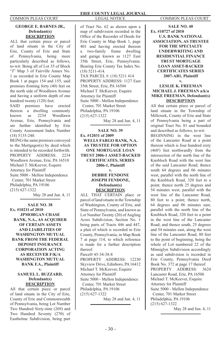#### **GEORGE E. BARNES JR., Defendant(s) DESCRIPTION**

ALL that certain piece or parcel of land situate in the City of Erie, County of Erie and State of Pennsylvania, being more particularly described as follows, to-wit: Being all of Lot 35 of Block "J" Map 3 of Fairville Annex No. 1 as recorded in Erie County Map Book 1 at pages 154 and 155, said premises fronting forty (40) feet on the north side of Woodlawn Avenue and having a uniform depth of one hundred twenty (120) feet.

SAID premises have erected thereon a dwelling commonly<br>known as 2234 Woodlawn known as 2234 Woodlawn Avenue, Erie, Pennsylvania and are further identified by Erie County Assessment Index Number (18) 5135-240.

BEING the same premises conveyed to the Mortgagor(s) by deed which is intended to be recorded forthwith. PROPERTY ADDRESS: 2234 Woodlawn Avenue, Erie, PA 16510 Michael T. McKeever, Esquire Attorney for Plaintiff Suite 5000 - Mellon Independence Center, 701 Market Street Philadelphia, PA 19106 (215) 627-1322

May 28 and Jun. 4, 11

**SALE NO. 38 Ex. #10211 of 2010 JPMORGAN CHASE BANK, N.A., AS ACQUIRER OF CERTAIN ASSETS AND LIABILITIES OF WASHINGTON MUTUAL BANK FROM THE FEDERAL DEPOSIT INSURANCE CORPORATION ACTING AS RECEIVER F/K/A WASHINGTON MUTUAL BANK F.A., Plaintiff**

#### **v. SAMUEL L. BUZZARD, Defendant(s) DESCRIPTION**

All that certain piece or parcel of land situate in the City of Erie, County of Erie and Commonwealth of Pennsylvania, being Lot Number Two Hundred Sixty-nine (269) and Two Hundred Seventy (270) of Eastholme Subdivision, being part

of Tract No. 62 as shown upon a map of subdivision recorded in the Office of the Recorder of Deeds for Erie County in Map Book 1, page 401 and having erected thereon a two-family frame dwelling and garage known as 1127 East 35th Street, Erie, Pennsylvania. Bearing Erie County Tax Index No. (18) 5211-414. TAX PARCEL #: (18) 5211 414 PROPERTY ADDRESS: 1127 East 35th Street, Erie, PA 16504 Michael T. McKeever, Esquire Attorney for Plaintiff Suite 5000 - Mellon Independence Center, 701 Market Street Philadelphia, PA 19106 (215) 627-1322

May 28 and Jun. 4, 11

**SALE NO. 39 Ex. #12031 of 2009 WELLS FARGO BANK, N.A. AS TRUSTEE FOR OPTION ONE MORTGAGE LOAN TRUST 2006-1 ASSET-BACKED CERTIFICATES, SERIES 2006-1, Plaintiff v.**

#### **DEBBIE FENDONE JOSEPH FENDONE, Defendant(s) DESCRIPTION**

ALL THAT CERTAIN place or parcel of land situate in the Township of Washington, County of Erie, and State of Pennsylvania, and known as Lot Number Twenty (20) of Angling Acres Subdivision, Section No. 1 being parts of Tracts 446 and 447, a plait of which is recorded in Erie County, Pennsylvania, in Map Book 7 at page 114, to which reference is made for a further description thereof. Parcel# 45-34-38-8 PROPERTY ADDRESS: 12230 Skyview Drive, Edinboro, PA 16412 Michael T. McKeever, Esquire

Attorney for Plaintiff Suite 5000 - Mellon Independence

 Center, 701 Market Street Philadelphia, PA 19106 (215) 627-1322

May 28 and Jun. 4, 11

**SALE NO. 40 Ex. #10727 of 2010 U.S. BANK NATIONAL ASSOCIATION, AS TRUSTEE FOR THE SPECIALTY UNDERWRITING AND RESIDENTIAL FINANCE TRUST MORTGAGE LOAN ASSET-BACKED CERTIFICATES SERIES 2007-AB1, Plaintiff v.**

### **LESLIE K. FREEMAN MICHAEL J. FREEMAN a/k/a MIKE FREEMAN, Defendant(s) DESCRIPTION**

All that certain piece or parcel of land situate in the Township of Millcreek, County of Erie and State of Pennsylvania being a part of original Tract No. 81 and bounded and described as follows, to-wit: BEGINNING in the west line of the Lancaster Road at a point thereon which is four hundred sixty (460') feet northwardly from the intersection of the north line of the Knobloch Road with the west line of the said Lancaster Road; thence south 64 degrees and 06 minutes west, parallel with the north line of the Knobloch Road, 320 feet to a point; thence north 25 degrees and 54 minutes west, parallel with the west line of the Lancaster Road, 80 feet to a point; thence north, 64 degrees and 06 minutes east, parallel with the north line of the Knobloch Road, 320 feet to a point in the west line of the Lancaster Road; and thence south, 25 degrees and 54 minutes east, along the west line of the Lancaster Road, 80 feet to the point of beginning, being the whole of Lot numbered 22 of the Minniglyn Subdivision accordingly as said subdivision is recorded in Erie County, Pennsylvania Deed Book No. 372 at page 17 thereof. PROPERTY ADDRESS: 3624 Lancaster Road, Erie, PA 16506 Michael T. McKeever, Esquire Attorney for Plaintiff Suite 5000 - Mellon Independence Center, 701 Market Street Philadelphia, PA 19106 (215) 627-1322

May 28 and Jun. 4, 11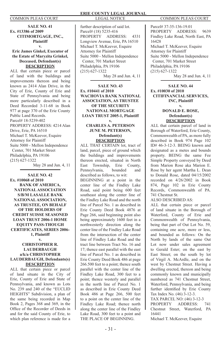**SALE NO. 41 Ex. #13386 of 2009 CITIMORTGAGE, INC., Plaintiff v.**

#### **Eric James Ginkel, Executor of the Estate of Maryzita Grinkel, Deceased, Defendant(s) DESCRIPTION**

ALL that certain piece or parcel of land with the buildings and improvements thereon and being known as 2414 Alan Drive, in the City of Erie, County of Erie and State of Pennsylvania and being more particularly described in a Deed Recorded 3-11-68 in Book 977 at page 370 of the Erie County Public Land Records. Parcel# 18-5239-402 PROPERTY ADDRESS: 4214 Alan Drive, Erie, PA 16510 Michael T. McKeever, Esquire Attorney for Plaintiff Suite 5000 - Mellon Independence Center, 701 Market Street Philadelphia, PA 19106 (215) 627-1322

May 28 and Jun. 4, 11

**SALE NO. 42 Ex. #10068 of 2010 BANK OF AMERICA, NATIONAL ASSOCIATION S/B/M LASALLE BANK NATIONAL ASSOCIATION, AS TRUSTEE, ON BEHALF OF THE HOLDERS OF CREDIT SUISSE SEASONED LOAN TRUST 2006-1 HOME EQUITY PASS-THOUGH CERTIFICATES, SERIES 2006- 1, Plaintiff**

#### **v. CHRISTOPHER R. LAUDERBAUGH a/k/a CHRISTOPHER LAUDERBAUGH, Defendants(s) DESCRIPTION**

ALL that certain piece or parcel of land situate in the City of Erie, County of Erie and State of Pennsylvania, and known as Lots No. 239 and 240 of the "EUCLID HEIGHTS" Subdivision, a plan of the same being recorded in Map Book 2, Pages 368 and 369, in the Office of the Recorder of Deeds in and for the said County of Erie, to which plan reference is made for a

further description of said lot. Parcel# (18) 5235-416 PROPERTY ADDRESS: 4331 Longview Avenue, Erie, PA 16510 Michael T. McKeever, Esquire Attorney for Plaintiff Suite 5000 - Mellon Independence Center, 701 Market Street Philadelphia, PA 19106 (215) 627-1322 May 28 and Jun. 4, 11

**SALE NO. 43 Ex. #10441 of 2010 WACHOVIA BANK NATIONAL ASSOCIATION, AS TRUSTEE OF THE SECURITY NATIONAL MORTGAGE LOAN TRUST 2005-1, Plaintiff**

#### **CHARLES A. PETERSON JUNE M. PETERSON, Defendant(s) DESCRIPTION**

**v.**

ALL THAT CERTAIN lot, tract of land, parcel, piece of ground which the buildings and improvements thereon erected, situated in North East Township, Erie County, Pennsylvania, bounded and described as follows, to wit:

BEGINNING at a point in the center line of the Findley Lake Road, said point being 600 feet southeast along the center line of the Findley Lake Road and the north line of Parcel No. 1 as described in Erie County Deed Book 4876 at Page 266, said beginning point also being approximately 1600 feet in a northwesterly direction along the center line of the Findley Lake Road from the intersection of the center line of Findley Lake Road and the tract line between Tract No. 16 and 17; thence east parallel with the east line of Parcel No. 1 as described in Erie County Deed Book 486 at page 266.500 feet to a point; thence south parallel with the center line of the Findley Lake Road, 300 feet to a point; thence westerly and parallel in the north line of Parcel No. 1 as described in Erie County Deed Book 486 at Page 266, 500 feet to a point on the center line of the Findley Lake Road; thence north along the center line of the Findley Lake Road, 300 feet to a point and THE PLACE OF BEGINNING.

Parcel# 37-35-136-19.01 PROPERTY ADDRESS: 9639 Findley Lake Road, North East, PA 16428 Michael T. McKeever, Esquire Attorney for Plaintiff Suite 5000 - Mellon Independence Center, 701 Market Street Philadelphia, PA 19106 (215) 627-1322

May 28 and Jun. 4, 11

#### **SALE NO. 44 Ex. #10030 of 2010 CITIFINANCIAL SERVICES, INC, Plaintiff**

#### **v. DONALD E. ROSE, Defendant(s) DESCRIPTION**

ALL that certain parcel of land in Borough of Waterford, Erie County, Commonwealth of PA, as more fully described in Book 974 Page 102 ID# 46-3-12-3. BEING known and designated as a metes and bounds property. BEING the same Fee Simple Property conveyed by Deed from Marion Rose aka Marion E. Rose by her agent Martha L. Dean to Donald Rose, dated 04/15/2002 recorded on 4/26/2002 in Book 874, Page 102 in Erie County Records, Commonwealth of PA. 741 Chestnut St.

ALSO DESCRIBED AS:

ALL that certain piece or parcel of land situate in the Borough of Waterford, County of Erie and Commonwealth of Pennsylvania, being that part of Out Lot No. 59, containing one acre, more or less, and bounded as follows: On the North by lands of the same Out Lot now under sales agreement to Gerald Ester; on the east by East Street; on the south by lot of Virgil A. McArdle, and on the west by Chestnut Street. Having a dwelling erected, thereon and being commonly known and municipally numbered as 741 Chestnut Street, Waterford, Pennsylvania, and being further identified by Erie County Tax Index No. (46) 3-12-3.

TAX PARCEL NO: (46) 3-12-3

PROPERTY ADDRESS: Chestnut Street, Waterford, PA 16441

Michael T. McKeever, Esquire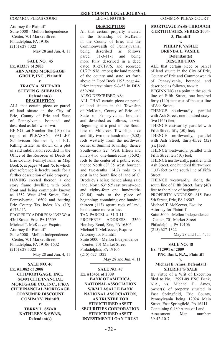Attorney for Plaintiff Suite 5000 - Mellon Independence Center, 701 Market Street Philadelphia, PA 19106 (215) 627-1322 May 28 and Jun. 4, 11

#### **SALE NO. 45 Ex. #13357 of 2005 ABN AMRO MORTGAGE GROUP, INC., Plaintiff v.**

#### **TRACY A. SHEPARD STEVEN G. SHEPARD, Defendant(s) DESCRIPTION**

ALL that certain piece or parcel of land situate in the City of Erie, County of Erie and State of Pennsylvania bounded and described as follows to-wit:

BEING Lot Number Ten (10) of a replot of PLEASANT VALLEY Subdivision Number 1, of E.L. Rilling Estate, as shown on a plot of said subdivision recorded in the Office of the Recorder of Deeds of Erie County, Pennsylvania, in Map Book 5, at pages 74 and 75, to which plot reference is hereby made for a further description of said property. HAVING erected thereon a one story frame dwelling with brick front and being commonly known as 1352 West 43rd Street, Erie, Pennsylvania, 16509 and bearing Erie County Tax Index No. (19) 6173-113.

PROPERTY ADDRESS: 1352 West 43rd Street, Erie, PA 16509 Michael T. McKeever, Esquire Attorney for Plaintiff Suite 5000 - Mellon Independence Center, 701 Market Street Philadelphia, PA 19106-1532 (215) 627-1322 May 28 and Jun. 4, 11

**SALE NO. 46 Ex. #11082 of 2008 CITIMORTGAGE, INC., S/B/M CITIFINANCIAL MORTGAGE CO., INC., F/K/A CITIFINANCIAL MORTGAGE CONSUMER DISCOUNT COMPANY, Plaintiff v.**

**TERRY L. SWAB KATHLEEN S. SWAB, Defendant(s)**

#### **DESCRIPTION**

All that certain property situated in the Township of McKean, in the County of Erie, and the Commonwealth of Pennsylvania, being described as follows<br>parcel 31-3-11-1 and being parcel  $31-3-11-1$  and more fully described in a deed dated 01/27/1976, and recorded 01/27/1976, among the land records of the county and state set forth above, in Deed Book 1195, page 44. Prior interest since 9-3-53 in DBV 659-208

#### ALSO DESCRIBED AS:

ALL THAT certain piece or parcel of land situate in the Township of McKean, County of Erie and State of Pennsylvania, bounded and described as follows, to-wit: Beginning at a post in the South line of Millcreek Township, five and fifty-two one hundredths (5.52) rods westerly from the northwest corner of Summit Township; thence Southwardly 22° West, fifteen and ninety-two one-hundredths (15.92) rods to the center of a public road; thence North 68° 35' west, fourteen and two-tenths (14.2) rods to a post in the South line of land of C. Breckley's heirs; thence along said land, North 63° 52' east twenty-one and eighty-four one hundredths (21.84) rods to the place of beginning; containing one hundred thirteen (113) square rods of land. be the same more or less. TAX PARCEL #: 31-3-11-1 PROPERTY ADDRESS: 3360 Hershey Road, Erie, PA 16506 Michael T. McKeever, Esquire Attorney for Plaintiff Suite 5000 - Mellon Independence Center, 701 Market Street Philadelphia, PA 19106 (215) 627-1322

May 28 and Jun. 4, 11

**SALE NO. 47 Ex. #15451 of 2009 BANK OF AMERICA, NATIONAL ASSOCIATION S/B/M LASALLE BANK NATIONAL ASSOCIATION, AS TRUSTEE FOR STRUCTURED ASSET SECURITIES CORPORATION STRUCTURED ASSET INVESTMENT LOAN TRUST** 

**MORTGAGE PASS-THROUGH CERTIFICATES, SERIES 2004- 3, Plaintiff**

### **v. PHILIP F. VASILE BRENDA L. VASILE,**

#### **Defendant(s) DESCRIPTION**

ALL that certain piece or parcel of land situate in the City of Erie, County of Erie and Commonwealth of Pennsylvania, bounded and described as follows, to-wit:

BEGINNING at a point in the south line of Fifth Street, one hundred forty (140) feet east of the east line of Ash Street;

THENCE southwardly, parallel with Ash Street, one hundred sixtyfive (165) feet;

THENCE eastwardly, parallel with Fifth Street, fifty (50) feet;

THENCE northwardly, parallel with Ash Street, thirty-three (32) [sic] feet:

THENCE westwardly, parallel with Fifth Street ten (10) feet;

THENCE northwardly, parallel with Ash Street, one hundred thirty-three (133) feet to the south line of Fifth Street;

THENCE westwardly, along the south line of Fifth Street, forty (40) feet to the place of beginning.

PROPERTY ADDRESS: 615 East 5th Street, Erie, PA 16507

Michael T. McKeever, Esquire

Attorney for Plaintiff

Suite 5000 - Mellon Independence Center, 701 Market Street

Philadelphia, PA 19106

(215) 627-1322

May 28 and Jun. 4, 11

#### **SALE NO. 48 Ex. #12991 of 2009 PNC Bank, N.A., Plaintiff v.**

#### **Michael E. Ames, Defendant SHERIFF'S SALE**

By virtue of a Writ of Execution filed to No. 12991-09 PNC Bank, N.A., vs. Michael E. Ames, owner(s) of property situated in East Springfield, Erie County, Pennsylvania being 12024 Main Street, East Springfield, PA 16411 Containing 0.480 Acres of Land<br>Assessment Man numb Assessment Map number: 39-42-10-7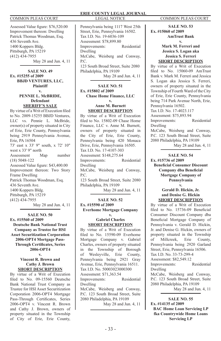Assessed Value figure: \$76,520.00 Improvement thereon: Dwelling Patrick Thomas Woodman, Esq. 436 Seventh Ave. 1400 Koppers Bldg. Pittsburgh, PA 15219 (412) 434-7955 May 28 and Jun. 4, 11

**SALE NO. 49 Ex. #15255 of 2009 BBJD VENTURES, LLC, Plaintiff v.**

#### **PENNIE L. McBRIDE, Defendant SHERIFF'S SALE**

By virtue of a Writ of Execution filed to No. 2009-15255 BBJD Ventures. LLC vs. Pennie L. McBride, owner(s) of property situated in City of Erie, Erie County, Pennsylvania being 2919 Pennsylvania Avenue, Erie, PA 16504 73' east x 33' 9" south, x 72' 10" west x 33' 9" north Assessment Map number (18) 5048-122 Assessed Value figure: \$43,400.00 Improvement thereon: Two Story Frame Dwelling Patrick Thomas Woodman, Esq. 436 Seventh Ave. 1400 Koppers Bldg. Pittsburgh, PA 15219 (412) 434-7955 May 28 and Jun. 4, 11

## **SALE NO. 50**

**Ex. #15560 of 2009 Deutsche Bank National Trust Company as Trustee for HSI Asset Securitization Corporation 2006-OPT4 Mortgage Pass-Through Certificates, Series 2006-OPT4 v.**

#### **Vincent R. Brown and Cathy J. Brown SHORT DESCRIPTION**

By virtue of a Writ of Execution filed to No. 09-15560 Deutsche Bank National Trust Company as Trustee for HSI Asset Securitization Corporation 2006-OPT4 Mortgage Pass-Through Certificates, Series 2006-OPT4 v. Vincent R. Brown and Cathy J. Brown, owners of property situated in the Township of City of Erie, Erie County,

Pennsylvania being 1117 West 25th Street, Erie, Pennsylvania 16502. Tax I.D. No. 19-6036-109 Assessment: \$78,899.80 Improvements: Residential Dwelling McCabe, Weisberg and Conway, P.C. 123 South Broad Street, Suite 2080 Philadelphia, PA 19109 May 28 and Jun. 4, 11

#### **SALE NO. 51 Ex. #15802 of 2009**

#### **Chase Home Finance, LLC v.**

#### **Anne M. Burnett SHORT DESCRIPTION**

By virtue of a Writ of Execution filed to No. 15802-09 Chase Home Finance, LLC v. Anne M. Burnett, owners of property situated in the City of Erie, Erie County, Pennsylvania being 420 Monaca Drive, Erie, Pennsylvania 16505. Tax I.D. No. 17-4107-303 Assessment: \$148,275.64 Improvements: Residential Dwelling McCabe, Weisberg and Conway, P.C. 123 South Broad Street, Suite 2080 Philadelphia, PA 19109 May 28 and Jun. 4, 11

## **SALE NO. 52**

### **Ex. #15590 of 2009 Everhome Mortgage Company**

**v.**

#### **Gabriel Charles SHORT DESCRIPTION**

By virtue of a Writ of Execution filed to No. 15590-09 Everhome Mortgage Company v. Gabriel Charles, owners of property situated in the Township of Borough<br>of Weslevville. Erie County. of Wesleyville, Pennsylvania being 2921 Gray Avenue, Erie, Pennsylvania 16511. Tax I.D. No. 50003023000300 Assessment: \$71,363.54 Improvements: Residential Dwelling McCabe, Weisberg and Conway, P.C. 123 South Broad Street, Suite 2080 Philadelphia, PA 19109 May 28 and Jun. 4, 11

**SALE NO. 53 Ex. #15060 of 2009 AmTrust Bank v.**

> **Mark M. Ferreri and Jessica S. Logan aka Jessica S. Ferreri SHORT DESCRIPTION**

By virtue of a Writ of Execution filed to No. 15060-09 AmTrust Bank v. Mark M. Ferreri and Jessica S. Logan aka Jessica S. Ferreri, owners of property situated in the Township of Fourth Ward of the City of Erie, Erie County, Pennsylvania being 714 Park Avenue North, Erie, Pennsylvania 16502. Tax I.D. No. 17-4023.117 Assessment: \$75,893.94 Improvements: Residential Dwelling McCabe, Weisberg and Conway, P.C. 123 South Broad Street, Suite 2080 Philadelphia, PA 19109 May 28 and Jun. 4, 11

**SALE NO. 54**

## **Ex. #15736 of 2009**

**Beneficial Consumer Discount Company dba Beneficial Mortgage Company of Pennsylvania v.**

**Gerald D. Hickin, Jr. and Denise G. Hickin SHORT DESCRIPTION**

By virtue of a Writ of Execution filed to No. 15736-09 Beneficial Consumer Discount Company dba Beneficial Mortgage Company of Pennsylvania v. Gerald D. Hickin, Jr. and Denise G. Hickin, owners of property situated in the Township of Millcreek, Erie County, Pennsylvania being 2920 Garland Street, Erie, Pennsylvania 16506. Tax I.D. No. 33-73-299-4 Assessment: \$82,549.12 Improvements: Residential Dwelling McCabe, Weisberg and Conway, P.C. 123 South Broad Street, Suite 2080 Philadelphia, PA 19109

May 28 and Jun. 4, 11

**SALE NO. 55 Ex. #14135 of 2009 BAC Home Loan Servicing LP fka Countrywide Home Loans Servicing LP**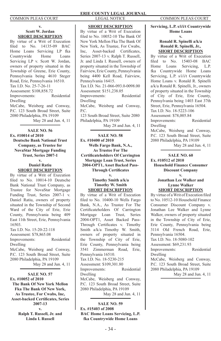#### **v. Scott W. Jordan SHORT DESCRIPTION**

By virtue of a Writ of Execution filed to No. 14135-09 BAC Home Loans Servicing LP fka Countrywide Home Loans Servicing LP v. Scott W. Jordan, owners of property situated in the Township of Greene, Erie County, Pennsylvania being 4610 Steger Road, Erie, Pennsylvania 16510. Tax I.D. No. 25-7-26-11 Assessment: \$108,858.72 Improvements: Residential Dwelling McCabe, Weisberg and Conway, P.C. 123 South Broad Street, Suite 2080 Philadelphia, PA 19109

May 28 and Jun. 4, 11

**SALE NO. 56 Ex. #10014 of 2010 Deutsche Bank National Trust Company, as Trustee for NovaStar Mortgage Funding Trust, Series 2007-1 v.**

> **Daniel Ratiu SHORT DESCRIPTION**

By virtue of a Writ of Execution filed to No. 10014-10 Deutsche Bank National Trust Company, as Trustee for NovaStar Mortgage Funding Trust, Series 2007-1 v. Daniel Ratiu, owners of property situated in the Township of Second Ward of the City of Erie, Erie County, Pennsylvania being 409 East 11th Street, Erie, Pennsylvania 16503.

Tax I.D. No. 15-20-22-118 Assessment: \$78,865.08 Improvements: Residential Dwelling McCabe, Weisberg and Conway, P.C. 123 South Broad Street, Suite 2080 Philadelphia, PA 19109 May 28 and Jun. 4, 11

**SALE NO. 57 Ex. #10052 of 2010 The Bank Of New York Mellon Fka The Bank Of New York, As Trustee, For Cwabs, Inc, Asset-backed Certificates, Series 2007-13 v. Ralph T. Russell, Jr. and** 

**Linda I. Russell**

#### **SHORT DESCRIPTION**

By virtue of a Writ of Execution filed to No. 10052-10 The Bank Of New York Mellon Fka The Bank Of New York, As Trustee, For Cwabs, Inc, Asset-backed Certificates, Series 2007-13 v. Ralph T. Russell, Jr. and Linda I. Russell, owners of property situated in the Township of Fairview, Erie County, Pennsylvania being 4400 Kell Road, Fairview, Pennsylvania 16415. Tax I.D. No. 21-066-093.0-0098.00 Assessment: \$151,238.05 Improvements: Residential Dwelling McCabe, Weisberg and Conway,  $PC$ 123 South Broad Street, Suite 2080 Philadelphia, PA 19109

May 28 and Jun. 4, 11

**SALE NO. 58 Ex. #10400 of 2010 Wells Fargo Bank, N.A., As Trustee For The Certificateholders Of Carrington Mortgage Loan Trust, Series 2004-OPT1, Asset Backed Pass-Through Certificates v.**

> **Timothy Smith a/k/a Timothy W. Smith SHORT DESCRIPTION**

By virtue of a Writ of Execution filed to No. 10400-10 Wells Fargo Bank, N.A., As Trustee For The Certificateholders Of Carrington Mortgage Loan Trust, Series 2004-OPT1, Asset Backed Pass-Through Certificates v. Timothy Smith a/k/a Timothy W. Smith, owners of property situated in the Township of City of Erie, Erie County, Pennsylvania being 3541 Zimmerman Road, Erie, Pennsylvania 16510. Tax I.D. No. 18-5230-215 Assessment: \$109,301.80 Improvements: Residential Dwelling McCabe, Weisberg and Conway, P.C. 123 South Broad Street, Suite 2080 Philadelphia, PA 19109

May 28 and Jun. 4, 11

**SALE NO. 59 Ex. #15403 of 2008 BAC Home Loans Servicing, L.P. fka Countrywide Home Loans** 

**Servicing, L.P. s/i/i/t Countrywide Home Loans v.**

#### **Ronald R. Spinelli a/k/a Ronald R. Spinelli, Jr., SHORT DESCRIPTION**

By virtue of a Writ of Execution filed to No. 15403-08 BAC Home Loans Servicing, L.P. fka Countrywide Home Loans Servicing, L.P. s/i/i/t Countrywide Home Loans v. Ronald R. Spinelli a/k/a Ronald R. Spinelli, Jr., owners of property situated in the Township of City of Erie, Erie County, Pennsylvania being 1403 East 37th Street, Erie, Pennsylvania 16504. Tax I.D. No. 18-5223-106 Assessment: \$78,005.84 Improvements: Residential Dwelling McCabe, Weisberg and Conway, P.C. 123 South Broad Street, Suite

2080 Philadelphia, PA 19109

May 28 and Jun. 4, 11

### **SALE NO. 60 Ex. #10512 of 2010**

**Household Finance Consumer Discount Company** 

#### **v. Jonathan Lee Walker and Lynne Walker SHORT DESCRIPTION**

By virtue of a Writ of Execution filed to No. 10512-10 Household Finance Consumer Discount Company v. Jonathan Lee Walker and Lynne Walker, owners of property situated in the Township of City of Erie, Erie County, Pennsylvania being 3114 Old French Road, Erie, Pennsylvania 16504. Tax I.D. No. 18-5080-102 Assessment: \$69,231.93

Improvements: Residential Dwelling

McCabe, Weisberg and Conway, P.C. 123 South Broad Street, Suite 2080 Philadelphia, PA 19109

May 28 and Jun. 4, 11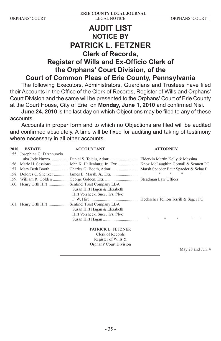## **AUDIT LIST NOTICE BY PATRICK L. FETZNER Clerk of Records, Register of Wills and Ex-Officio Clerk of the Orphans' Court Division, of the Court of Common Pleas of Erie County, Pennsylvania**

The following Executors, Administrators, Guardians and Trustees have filed their Accounts in the Office of the Clerk of Records, Register of Wills and Orphans' Court Division and the same will be presented to the Orphans' Court of Erie County at the Court House, City of Erie, on **Monday, June 1, 2010** and confirmed Nisi.

**June 24, 2010** is the last day on which Objections may be filed to any of these accounts.

Accounts in proper form and to which no Objections are filed will be audited and confirmed absolutely. A time will be fixed for auditing and taking of testimony where necessary in all other accounts.

| 2010 | <b>ESTATE</b>                | <b>ACCOUNTANT</b>                                                                           | <b>ATTORNEY</b>                                                              |
|------|------------------------------|---------------------------------------------------------------------------------------------|------------------------------------------------------------------------------|
|      | 155. Josephina G. D'Annunzio |                                                                                             |                                                                              |
|      |                              | aka Jody Nuzzo  Daniel S. Tolciu, Admr.  Elderkin Martin Kelly & Messina                    |                                                                              |
|      |                              | 156. Marie H. Sessions  John K. Hallenburg, Jr., Exr.  Knox McLaughlin Gornall & Sennett PC |                                                                              |
|      |                              |                                                                                             |                                                                              |
|      |                              |                                                                                             | and the control of the con-<br>$\mathbf{H}$<br>$\mathbf{H}$                  |
|      |                              |                                                                                             |                                                                              |
|      |                              |                                                                                             |                                                                              |
|      |                              | Susan Hirt Hagen & Elizabeth                                                                |                                                                              |
|      |                              | Hirt Vorsheck, Succ. Trs. f/b/o                                                             |                                                                              |
|      |                              |                                                                                             |                                                                              |
|      |                              |                                                                                             |                                                                              |
|      |                              | Susan Hirt Hagan & Elizabeth                                                                |                                                                              |
|      |                              | Hirt Vorsheck, Succ. Trs. f/b/o                                                             |                                                                              |
|      |                              |                                                                                             | $\mathbf{H}$<br>$\mathbf{H}$<br>$\mathbf{H}$<br>$^{\dagger}$<br>$^{\dagger}$ |
|      |                              | PATRICK L. FETZNER                                                                          |                                                                              |
|      |                              | Clerk of Records                                                                            |                                                                              |
|      |                              | Register of Wills &                                                                         |                                                                              |
|      |                              | Orphans' Court Division                                                                     |                                                                              |
|      |                              |                                                                                             | May 28 and Jun. 4                                                            |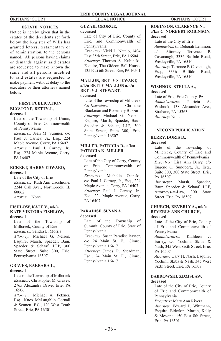#### **ESTATE NOTICES**

Notice is hereby given that in the estates of the decedents set forth below the Register of Wills has granted letters, testamentary or of administration, to the persons named. All persons having claims or demands against said estates are requested to make known the same and all persons indebted to said estates are requested to make payment without delay to the executors or their attorneys named below.

#### **FIRST PUBLICATION BLYSTONE, BETTY J., deceased**

Late of the Township of Union, County of Erie, Commonwealth of Pennsylvania

*Executrix:* Jean M. Sumner, c/o Paul J. Carney, Jr., Esq., 224 Maple Avenue, Corry, PA 16407 *Attorney:* Paul J. Carney, Jr., Esq., 224 Maple Avenue, Corry, PA 16407

### **ECKERT, HARRY EDWARD, deceased**

Late of the City of Erie *Executrix*: Ruth Ann Cacchione, 2244 Oak Ave., Northbrook, IL 60062 *Attorney*: None

#### **FISHLOW, KATE V., a/k/a KATE VIKTORA FISHLOW, deceased**

Late of the Township of Millcreek, County of Erie *Executrix:* Sandra L. Morris *Attorney:* Michael G. Nelson, Esquire, Marsh, Spaeder, Baur, Spaeder & Schaaf, LLP, 300 State Street, Suite 300, Erie, Pennsylvania 16507

#### **GRAVES, BARBARA L., deceased**

Late of the Township of Millcreek *Executor:* Christopher M. Graves, 2765 Alexandra Drive, Erie, PA 16506

*Attorney:* Michael A. Fetzner, Esq., Knox McLaughlin Gornall & Sennett, P.C., 120 West Tenth Street, Erie, PA 16501

Late of City of Erie, County of Erie, and Commonwealth of

*Executrix:* Vicki L. Natalo, 1404 East 35th Street, Erie, PA 16504 *Attorney:* Thomas S. Kubinski, Esquire, The Gideon Ball House, 135 East 6th Street, Erie, PA 16501 **MALLON, BETTY STEWART, a/k/a BETTY MALLON a/k/a BETTY J. STEWART,**

Late of the Township of Millcreek *Co-Executors:* Christine Blackman and Rosemary Buzzard *Attorney:* Michael G. Nelson, Esquire, Marsh, Spaeder, Baur, Spaeder & Schaaf, LLP, 300 State Street, Suite 300, Erie,

Pennsylvania 16507

**MILLER, PATRICIA D., a/k/a PATRICIA K. MILLER,**

Late of the City of Corry, County of Erie, Commonwealth of

*Executrix:* Michelle Osinski, c/o Paul J. Carney, Jr., Esq., 224 Maple Avenue, Corry, PA 16407 *Attorney:* Paul J. Carney, Jr., Esq., 224 Maple Avenue, Corry,

Late of the Township of Summit, County of Erie, State of

*Executrix:* Susan Paradise Baxter, c/o 24 Main St. E., Girard,

*Attorney:* James R. Steadman, Esq., 24 Main St. E., Girard,

**GUZAK, GEORGE,**

Pennsylvania

**deceased**

**deceased**

**deceased**

Pennsylvania

PA 16407

Pennsylvania

**deceased**

**PARADISE, SUSAN A.,**

Pennsylvania 16417

Pennsylvania 16417

#### **ROBINSON, CLARENCE N., a/k/a C. NORBERT ROBINSON, deceased**

Late of the City of Erie *Administratrix:* Deborah Lemmon, c/o Attorney Terrence P. Cavanaugh, 3336 Buffalo Road, Wesleyville, PA 16510 *Attorney:* Terrence P. Cavanaugh, Esq., 3336 Buffalo Road, Wesleyville, PA 16510

#### **WISHNOK, STELLA A., deceased**

Late of Erie, Erie County, PA<br>Administratrix Patricia *Administratrix:* Patricia A. Wishnok, 138 Alexander Ave., Strabane, PA 15363 *Attorney:* None

#### **SECOND PUBLICATION**

## **BERRY, DORIS B.,**

**deceased**

Late of the Township of Millcreek, County of Erie and Commonwealth of Pennsylvania *Executrix:* Lisa Ann Berry, c/o Eugene C. Sundberg, Jr., Esq., Suite 300, 300 State Street, Erie, PA 16507

*Attorneys:* Marsh, Spaeder, Baur, Spaeder & Schaaf, LLP,<br>Attorneys-at-Law, 300 State Attorneys-at-Law, 300 State Street, Erie, PA 16507

## **CHURCH, BEVERLY A., a/k/a BEVERLY ANN CHURCH,**

### **deceased**

Late of the City of Erie, County of Erie and Commonwealth of Pennsylvania *Administratrix:* Kathleen J. Earley, c/o Yochim, Skiba & Nash, 345 West Sixth Street, Erie, PA 16507

*Attorney:* Gary H. Nash, Esquire, Yochim, Skiba & Nash, 345 West Sixth Street, Erie, PA 16507

#### **DABROWSKI, ZDZISLAW, deceased**

Late of the City of Erie, County of Erie and Commonwealth of Pennsylvania

*Executrix:* Mary Ann Rivera *Attorney:* Edward P. Wittmann, Esquire, Elderkin, Martin, Kelly & Messina, 150 East 8th Street, Erie, PA 16501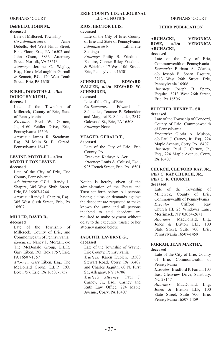#### **deceased**

Late of Millcreek Township *Co-Administrators:* Anne Debello, 464 West Ninth Street, First Floor, Erie, PA 16502 and John Olson, 3833 Atterbury Street, Norfolk, VA 23513 *Attorney:* Jerome C. Wegley, Esq., Knox McLaughlin Gornall & Sennett, P.C., 120 West Tenth Street, Erie, PA 16501

#### **KIEHL, DOROTHY J., a/k/a DOROTHY KIEHL, deceased**

Late of the Township of Millcreek, County of Erie, State of Pennsylvania *Executor:* Fred W. Garnon, Jr., 4160 Feidler Drive, Erie,

Pennsylvania 16506 *Attorney:* James R. Steadman, Esq., 24 Main St. E., Girard, Pennsylvania 16417

#### **LEVINE, MYRTLE L., a/k/a MYRTLE FOX LEVINE, deceased**

Late of the City of Erie, Erie County, Pennsylvania *Administrator C.T.A.:* Randy L.

Shapira, 305 West Sixth Street, Erie, PA 16507-1244

*Attorney:* Randy L. Shapira, Esq., 305 West Sixth Street, Erie, PA 16507

#### **MILLER, DAVID B., deceased**

Late of the Township of Millcreek, County of Erie, and Commonwealth of Pennsylvania *Executrix:* Nancy P. Morgan, c/o The McDonald Group, L.L.P., Gary Eiben, P.O. Box 1757, Erie, PA 16507-1757

*Attorney:* Gary Eiben, Esq., The McDonald Group, L.L.P., P.O. Box 1757, Erie, PA 16507-1757

#### **DeBELLO, JOHN M., THIRD PUBLICATION RIOS, HECTOR LUIS,**

**deceased**

Late of the City of Erie, County of Erie and State of Pennsylvania<br>Administratrix [1] Lillianette *Administratrix*: Santiago *Attorney:* Philip B. Friedman, Esquire, Conner Riley Friedman & Weichler, 17 West 10th Street, Erie, Pennsylvania 16501

#### **SCHNEIDER, EDWARD WALTER, a/k/a EDWARD W. SCHNEIDER, deceased**

Late of the City of Erie *Co-Executors:* Edward J. Schneider, Terance P. Schneider and Margaret E. Schneider, 2817 Oakwood St., Erie, PA 16508 *Attorney:* None

### **YEAGER, GERALD T.,**

#### **deceased**

Late of the City of Erie, Erie County, PA *Executor:* Kathryn A. Acri *Attorney:* Louis A. Colussi, Esq., 925 French Street, Erie, PA 16501

Notice is hereby given of the administration of the Estate and Trust set forth below. All persons having claims or demands against the decedent are requested to make known the same and all persons indebted to said decedent are required to make payment without delay to the executrix, trustee or her attorney named below.

#### **JAQUITH, LAVERNE G., deceased**

Late of the Township of Wayne, Erie County, Pennsylvania *Trustees:* Karen Kubich, 13500 Stewart Road, Corry, PA 16407 and Charles Jaquith, 60 N. First St., Allegany, NY 14706 *Trustee's Attorney:* Paul J. Carney, Jr., Esq., Carney and Ruth Law Office, 224 Maple Avenue, Corry, PA 16407

#### **ARCHACKI, VERONICA VERONICA ARCHACKI, deceased**

Late of the City of Erie, Commonwealth of Pennsylvania *Executrix:* Barbara A. Zdarko, c/o Joseph B. Spero, Esquire, 3213 West 26th Street, Erie, Pennsylvania 16506 *Attorney:* Joseph B. Spero, Esquire, 3213 West 26th Street, Erie, PA 16506

#### **BUTCHER, HENRY E., SR., deceased**

Late of the Township of Concord, County of Erie, Commonwealth of Pennsylvania

*Executrix:* Gloria A. Mulson, c/o Paul J. Carney, Jr., Esq., 224 Maple Avenue, Corry, PA 16407 *Attorney:* Paul J. Carney, Jr., Esq., 224 Maple Avenue, Corry, PA 16407

#### **CHURCH, CLIFFORD RAY, JR., a/k/a C. RAY CHURCH, JR., a/k/a C. R. CHURCH, deceased**

Late of the Township of Millcreek, County of Erie, Commonwealth of Pennsylvania *Executor:* Clifford Ray Church III, 25 Windover Lane, Merrimack, NY 03054-2671 *Attorneys:* MacDonald, Illig, Jones & Britton LLP, 100 State Street, Suite 700, Erie, Pennsylvania 16507-1459

#### **FARRAH, JEAN MARTHA, deceased**

Late of the City of Erie, County of Erie, Commonwealth of Pennsylvania *Executor:* Bradford P. Farrah, 103 East Glenview Drive, Salisbury, NC 28147 *Attorneys:* MacDonald, Illig, Jones & Britton LLP, 100

State Street, Suite 700, Erie, Pennsylvania 16507-1459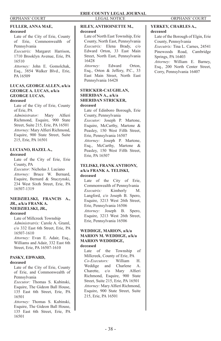### **FULLER, ANNA MAE,**

#### **deceased**

Late of the City of Erie, County of Erie, Commonwealth of Pennsylvania

*Executrix:* Margaret Harrison, 1710 Brooklyn Avenue, Erie, PA 16510

*Attorney:* John E. Gomolchak, Esq., 3854 Walker Blvd., Erie, PA 16509

### **LUCAS, GEORGE ALLEN, a/k/a GEORGE A. LUCAS, a/k/a GEORGE LUCAS,**

### **deceased**

Late of the City of Erie, County of Erie, PA

*Administrator:* Mary Alfieri Richmond, Esquire, 900 State Street, Suite 215, Erie, PA 16501 *Attorney:* Mary Alfieri Richmond, Esquire, 900 State Street, Suite 215, Erie, PA 16501

## **LUCIANO, HAZEL A.,**

### **deceased**

Late of the City of Erie, Erie County, PA *Executor:* Nicholas J. Luciano *Attorney:* Bruce W. Bernard, Esquire, Bernard & Stuczynski, 234 West Sixth Street, Erie, PA 16507-1319

#### **NIEDZIELSKI, FRANCIS A., JR., a/k/a FRANK A. NIEDZIELSKI, JR.,**

#### **deceased**

Late of Millcreek Township *Administratrix:* Carole A. Graml, c/o 332 East 6th Street, Erie, PA 16507-1610

*Attorney:* Evan E. Adair, Esq., Williams and Adair, 332 East 6th Street, Erie, PA 16507-1610

#### **PASKY, EDWARD, deceased**

Late of the City of Erie, County of Erie, and Commonwealth of Pennsylvania

*Executor:* Thomas S. Kubinski, Esquire, The Gideon Ball House, 135 East 6th Street, Erie, PA 16501

*Attorney:* Thomas S. Kubinski, Esquire, The Gideon Ball House, 135 East 6th Street, Erie, PA 16501

#### **RILEY, ANTHOINETTE M., deceased**

Late of North East Township, Erie County, North East, Pennsylvania *Executrix:* Elena Brady, c/o Edward Orton, 33 East Main Street, North East, Pennsylvania 16428

*Attorney:* Edward Orton, Esq., Orton & Jeffery, P.C., 33 East Main Street, North East Pennsylvania 16428

#### **STRICKER-CAUGHLAN, SHERIDAN A., a/k/a SHERIDAN STRICKER, deceased**

Late of Edinboro Borough, Erie County, Pennsylvania *Executor:* Joseph P. Martone, Esquire, McCarthy, Martone & Peasley, 150 West Fifth Street, Erie, Pennsylvania 16507 *Attorney:* Joseph P. Martone, Esq., McCarthy, Martone & Peasley, 150 West Fifth Street, Erie, PA 16507

#### **TELISKI, FRANK ANTHONY, a/k/a FRANK A. TELISKI, deceased**

Late of the City of Erie, Commonwealth of Pennsylvania *Executrix:* Kimberly M. Langford, c/o Joseph B. Spero, Esquire, 3213 West 26th Street, Erie, Pennsylvania 16506 *Attorney:* Joseph B. Spero, Esquire, 3213 West 26th Street, Erie, Pennsylvania 16506

#### **WEDDIGE, MARION, a/k/a MARION M. WEDDIGE, a/k/a MARION WEDDIDGE, deceased**

Late of the Township of Millcreek, County of Erie, PA *Co-Executors:* William H. Weddige and Charlene A. Charette, c/o Mary Alfieri Richmond, Esquire, 900 State Street, Suite 215, Erie, PA 16501 *Attorney:* Mary Alfieri Richmond, Esquire, 900 State Street, Suite 215, Erie, PA 16501

#### **YERKEY, CHARLES A., deceased**

Late of the Borough of Elgin, Erie County, Pennsylvania *Executrix:* Tina L. Carnes, 24541 Pinewoods Road, Cambridge Springs, PA 16403 *Attorney:* William E. Barney, Esq., 200 North Center Street, Corry, Pennsylvania 16407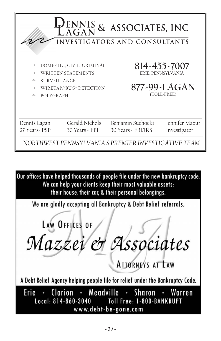| PENNIS & ASSOCIATES, INC<br>INVESTIGATORS AND CONSULTANTS                                                                                                                                        |                                  |                                                                                                |                                                                   |  |
|--------------------------------------------------------------------------------------------------------------------------------------------------------------------------------------------------|----------------------------------|------------------------------------------------------------------------------------------------|-------------------------------------------------------------------|--|
| DOMESTIC, CIVIL, CRIMINAL<br>$\color{red} \color{black} \oplus$<br><b>WRITTEN STATEMENTS</b><br><br><b>SURVEILLANCE</b><br>♦<br>WIRETAP/"BUG" DETECTION<br>$\triangleq$<br>♦<br><b>POLYGRAPH</b> |                                  |                                                                                                | 814-455-7007<br>ERIE, PENNSYLVANIA<br>877-99-LAGAN<br>(TOLL-FREE) |  |
| Dennis Lagan<br>27 Years - PSP                                                                                                                                                                   | Gerald Nichols<br>30 Years - FBI | Benjamin Suchocki<br>30 Years - FBI/IRS<br>NORTHWEST PENNSYLVANIA'S PREMIER INVESTIGATIVE TEAM | Jennifer Mazur<br>Investigator                                    |  |

Our offices have helped thousands of people file under the new bankruptcy code. We can help your clients keep their most valuable assets: their house, their car, & their personal belongings.

We are gladly accepting all Bankruptcy & Debt Relief referrals.

LAW OFFICES OF Mazzei et Associates **ATTORNEYS AT LAW** A Debt Relief Agency helping people file for relief under the Bankruptcy Code. Clarion · Meadville Sharon Erie Warren www.debt-be-gone.com